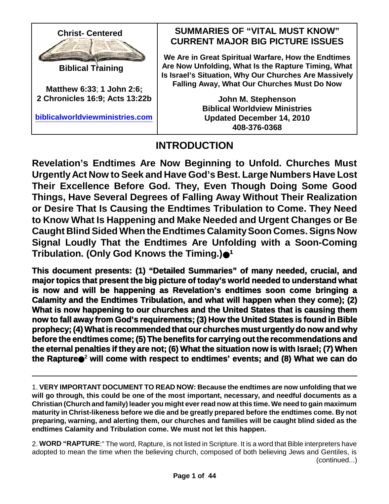

**Biblical Training**

**Matthew 6:33**; **1 John 2:6; 2 Chronicles 16:9; Acts 13:22b**

**biblicalworldviewministries.com**

### **SUMMARIES OF "VITAL MUST KNOW" CURRENT MAJOR BIG PICTURE ISSUES**

**We Are in Great Spiritual Warfare, How the Endtimes Are Now Unfolding, What Is the Rapture Timing, What Is Israel's Situation, Why Our Churches Are Massively Falling Away, What Our Churches Must Do Now**

> **John M. Stephenson Biblical Worldview Ministries Updated December 14, 2010 408-376-0368**

# **INTRODUCTION**

**Revelation's Endtimes Are Now Beginning to Unfold. Churches Must UrgentlyAct Now to Seek and Have God's Best. Large Numbers Have Lost Their Excellence Before God. They, Even Though Doing Some Good Things, Have Several Degrees of Falling Away Without Their Realization or Desire That Is Causing the Endtimes Tribulation to Come. They Need to Know What Is Happening and Make Needed and Urgent Changes or Be Caught BlindSided When the Endtimes Calamity Soon Comes. Signs Now Signal Loudly That the Endtimes Are Unfolding with a Soon-Coming Tribulation. (Only God Knows the Timing.) 1**

**This document presents: (1) "Detailed Summaries" of many needed, crucial, and major topics that present the big picture of today's world needed to understand what is now and will be happening as Revelation's endtimes soon come bringing a Calamity and the Endtimes Tribulation, and what will happen when they come); (2) What is now happening to our churches and the United States that is causing them now to fall away from God's requirements; (3) How the United States is found in Bible prophecy; (4) Whatis recommended that our churches must urgentlydo now and why before the endtimes come; (5) The benefits for carrying out the recommendations and the eternal penalties if they are not; (6) What the situation now is with Israel; (7) When the Rapture** <sup>2</sup> **will come with respect to endtimes' events; and (8) What we can do**

<sup>1.</sup> **VERY IMPORTANT DOCUMENT TO READ NOW: Because the endtimes are now unfolding that we will go through, this could be one of the most important, necessary, and needful documents as a Christian (Church and family) leader you might everread now at this time. We need to gain maximum maturity in Christ-likeness before we die and be greatly prepared before the endtimes come. By not preparing, warning, and alerting them, our churches and families will be caught blind sided as the endtimes Calamity and Tribulation come. We must not let this happen.**

<sup>2.</sup> **WORD "RAPTURE**:" The word, Rapture, is not listed in Scripture. It is a word that Bible interpreters have adopted to mean the time when the believing church, composed of both believing Jews and Gentiles, is (continued...)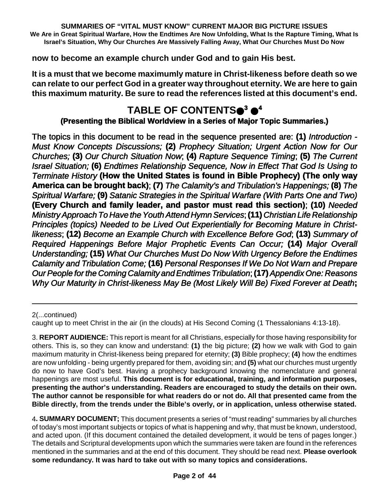**now to become an example church under God and to gain His best.**

**It is a must that we become maximumly mature in Christ-likeness before death so we can relate to our perfect God in a greater way throughout eternity. We are here to gain this maximum maturity. Be sure to read the references listed at this document's end.**

# **TABLE OF CONTENTS <sup>3</sup> 4**

### **(Presenting the Biblical Worldview in a Series of Major Topic Summaries.)**

The topics in this document to be read in the sequence presented are: **(1)** *Introduction - Must Know Concepts Discussions;* **(2)** *Prophecy Situation; Urgent Action Now for Our Churches;* **(3)** *Our Church Situation Now*; **(4)** *Rapture Sequence Timing*; **(5)** *The Current Israel Situation;* **(6)** *Endtimes Relationship Sequence, Now in Effect That God Is Using to Terminate History* **(How the United States is found in Bible Prophecy) (The only way America can be brought back)**; **(7)** *The Calamity's and Tribulation's Happenings;* **(8)** *The Spiritual Warfare;* **(9)** *Satanic Strategies in the Spiritual Warfare (With Parts One and Two)* **(Every Church and family leader, and pastor must read this section)**; **(10)** *Needed MinistryApproach To Have theYouthAttend Hymn Services*;**(11)** *Christian Life Relationship Principles (topics) Needed to be Lived Out Experientially for Becoming Mature in Christlikeness*; **(12)** *Become an Example Church with Excellence Before God*; **(13)** *Summary of Required Happenings Before Major Prophetic Events Can Occur;* **(14)** *Major Overall Understanding;* **(15)** *What Our Churches Must Do Now With Urgency Before the Endtimes Calamity and Tribulation Come;* **(16)** *Personal Responses If We Do Not Warn and Prepare Our People for the Coming Calamity andEndtimes Tribulation*;**(17)***Appendix One: Reasons Why Our Maturity in Christ-likeness May Be (Most Likely Will Be) Fixed Forever at Death***;**

2(...continued)

3. **REPORT AUDIENCE:** This report is meant for all Christians, especially for those having responsibility for others. This is, so they can know and understand: **(1)** the big picture; **(2)** how we walk with God to gain maximum maturity in Christ-likeness being prepared for eternity; **(3)** Bible prophecy; **(4)** how the endtimes are now unfolding - being urgently prepared for them, avoiding sin; and **(5)** what our churches must urgently do now to have God's best. Having a prophecy background knowing the nomenclature and general happenings are most useful. **This document is for educational, training, and information purposes, presenting the author's understanding. Readers are encouraged to study the details on their own. The author cannot be responsible for what readers do or not do. All that presented came from the Bible directly, from the trends under the Bible's overly, or in application, unless otherwise stated.**

4**. SUMMARY DOCUMENT;** This document presents a series of "must reading" summaries by all churches of today's most important subjects or topics of what is happening and why, that must be known, understood, and acted upon. (If this document contained the detailed development, it would be tens of pages longer.) The details and Scriptural developments upon which the summaries were taken are found in the references mentioned in the summaries and at the end of this document. They should be read next. **Please overlook some redundancy. It was hard to take out with so many topics and considerations.**

caught up to meet Christ in the air (in the clouds) at His Second Coming (1 Thessalonians 4:13-18).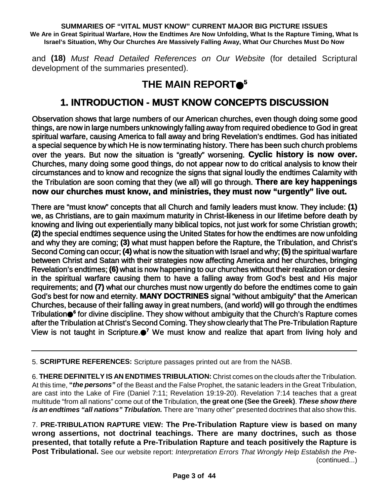and **(18)** *Must Read Detailed References on Our Website* (for detailed Scriptural development of the summaries presented).

# **THE MAIN REPORT 5**

## **1. INTRODUCTION - MUST KNOW CONCEPTS DISCUSSION**

Observation shows that large numbers of our American churches, even though doing some good things, are now in large numbers unknowingly falling away from required obedience to God in great spiritual warfare, causing America to fall away and bring Revelation's endtimes. God has initiated a special sequence by which He is now terminating history. There has been such church problems over the years. But now the situation is "greatly" worsening. **Cyclic history is now over.** Churches, many doing some good things, do not appear now to do critical analysis to know their circumstances and to know and recognize the signs that signal loudly the endtimes Calamity with the Tribulation are soon coming that they (we all) will go through. **There are key happenings now our churches must know, and ministries, they must now "urgently" live out.**

There are "must know" concepts that all Church and family leaders must know. They include: **(1)** we, as Christians, are to gain maximum maturity in Christ-likeness in our lifetime before death by knowing and living out experientially many biblical topics, not just work for some Christian growth; **(2)** the special endtimes sequence using the United States for how the endtimes are now unfolding and why they are coming; **(3)** what must happen before the Rapture, the Tribulation, and Christ's Second Coming can occur; **(4)** what is now the situation with Israel and why; **(5)** the spiritual warfare between Christ and Satan with their strategies now affecting America and her churches, bringing Revelation's endtimes; **(6)** what is now happening to our churches without their realization or desire in the spiritual warfare causing them to have a falling away from God's best and His major requirements; and **(7)** what our churches must now urgently do before the endtimes come to gain God's best for now and eternity. **MANY DOCTRINES** signal "without ambiguity" that the American Churches, because of their falling away in great numbers, (and world) will go through the endtimes Tribulation **6** for divine discipline. They show without ambiguity that the Church's Rapture comes after the Tribulation at Christ's Second Coming. They show clearly that The Pre-Tribulation Rapture View is not taught in Scripture. **<sup>7</sup>** We must know and realize that apart from living holy and

5. **SCRIPTURE REFERENCES:** Scripture passages printed out are from the NASB.

6. **THERE DEFINITELY IS AN ENDTIMES TRIBULATION:** Christ comes on the clouds after the Tribulation. At this time, **"***the persons"* of the Beast and the False Prophet, the satanic leaders in the Great Tribulation, are cast into the Lake of Fire (Daniel 7:11; Revelation 19:19-20). Revelation 7:14 teaches that a great multitude "from all nations" come out of **the** Tribulation, **the great one (See the Greek)**. *These show there is an endtimes "all nations" Tribulation.* There are "many other" presented doctrines that also show this.

7. **PRE-TRIBULATION RAPTURE VIEW: The Pre-Tribulation Rapture view is based on many wrong assertions, not doctrinal teachings. There are many doctrines, such as those presented, that totally refute a Pre-Tribulation Rapture and teach positively the Rapture is Post Tribulational.** See our website report: *Interpretation Errors That Wrongly Help Establish the Pre-* (continued...)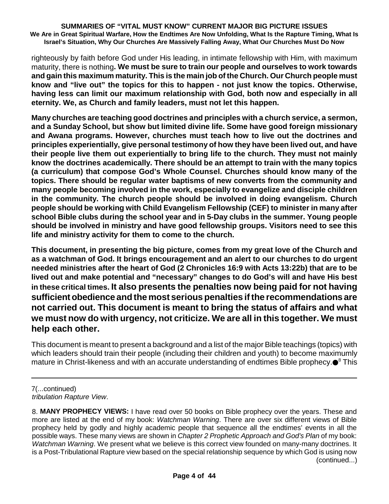righteously by faith before God under His leading, in intimate fellowship with Him, with maximum maturity, there is nothing**. We must be sure to train our people and ourselves to work towards and gain this maximum maturity. This is the main job of the Church. Our Church people must know and "live out" the topics for this to happen - not just know the topics. Otherwise, having less can limit our maximum relationship with God, both now and especially in all eternity. We, as Church and family leaders, must not let this happen.**

**Many churches are teaching good doctrines and principles with a church service, a sermon, and a Sunday School, but show but limited divine life. Some have good foreign missionary and Awana programs. However, churches must teach how to live out the doctrines and principles experientially, give personal testimony of how they have been lived out, and have their people live them out experientially to bring life to the church. They must not mainly know the doctrines academically. There should be an attempt to train with the many topics (a curriculum) that compose God's Whole Counsel. Churches should know many of the topics. There should be regular water baptisms of new converts from the community and many people becoming involved in the work, especially to evangelize and disciple children in the community. The church people should be involved in doing evangelism. Church people should be working with Child Evangelism Fellowship (CEF) to minister in many after school Bible clubs during the school year and in 5-Day clubs in the summer. Young people should be involved in ministry and have good fellowship groups. Visitors need to see this life and ministry activity for them to come to the church.**

**This document, in presenting the big picture, comes from my great love of the Church and as a watchman of God. It brings encouragement and an alert to our churches to do urgent needed ministries after the heart of God (2 Chronicles 16:9 with Acts 13:22b) that are to be lived out and make potential and "necessary" changes to do God's will and have His best in these critical times. It also presents the penalties now being paid for not having sufficient obedience and the most serious penalties if the recommendations are not carried out. This document is meant to bring the status of affairs and what we must now do with urgency, not criticize. We are all in this together. We must help each other.**

This document is meant to present a background and a list of the major Bible teachings (topics) with which leaders should train their people (including their children and youth) to become maximumly mature in Christ-likeness and with an accurate understanding of endtimes Bible prophecy. <sup>8</sup> This

<sup>7(...</sup>continued) *tribulation Rapture View*.

<sup>8.</sup> **MANY PROPHECY VIEWS:** I have read over 50 books on Bible prophecy over the years. These and more are listed at the end of my book: *Watchman Warning*. There are over six different views of Bible prophecy held by godly and highly academic people that sequence all the endtimes' events in all the possible ways. These many views are shown in *Chapter 2 Prophetic Approach and God's Plan* of my book: *Watchman Warning*. We present what we believe is this correct view founded on many-many doctrines. It is a Post-Tribulational Rapture view based on the special relationship sequence by which God is using now (continued...)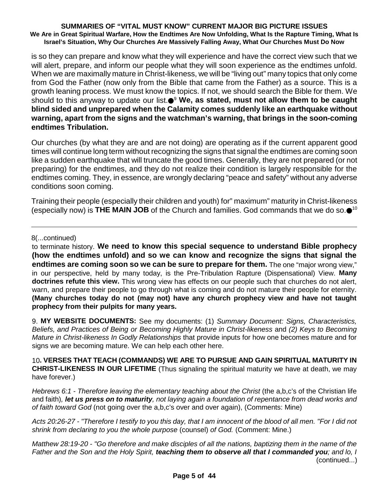is so they can prepare and know what they will experience and have the correct view such that we will alert, prepare, and inform our people what they will soon experience as the endtimes unfold. When we are maximally mature in Christ-likeness, we will be "living out" many topics that only come from God the Father (now only from the Bible that came from the Father) as a source. This is a growth leaning process. We must know the topics. If not, we should search the Bible for them. We should to this anyway to update our list. <sup>9</sup> **We, as stated, must not allow them to be caught blind sided and unprepared when the Calamity comes suddenly like an earthquake without warning, apart from the signs and the watchman's warning, that brings in the soon-coming endtimes Tribulation.**

Our churches (by what they are and are not doing) are operating as if the current apparent good times will continue long term without recognizing the signs that signal the endtimes are coming soon like a sudden earthquake that will truncate the good times. Generally, they are not prepared (or not preparing) for the endtimes, and they do not realize their condition is largely responsible for the endtimes coming. They, in essence, are wrongly declaring "peace and safety" without any adverse conditions soon coming.

Training their people (especially their children and youth) for" maximum" maturity in Christ-likeness (especially now) is **THE MAIN JOB** of the Church and families. God commands that we do so. 10

8(...continued)

to terminate history. **We need to know this special sequence to understand Bible prophecy (how the endtimes unfold) and so we can know and recognize the signs that signal the endtimes are coming soon so we can be sure to prepare for them.** The one "major wrong view," in our perspective, held by many today, is the Pre-Tribulation Rapture (Dispensational) View. **Many doctrines refute this view.** This wrong view has effects on our people such that churches do not alert, warn, and prepare their people to go through what is coming and do not mature their people for eternity. **(Many churches today do not (may not) have any church prophecy view and have not taught prophecy from their pulpits for many years.**

9. **MY WEBSITE DOCUMENTS:** See my documents: (1) *Summary Document: Signs, Characteristics, Beliefs, and Practices of Being or Becoming Highly Mature in Christ-likeness* and *(2) Keys to Becoming Mature in Christ-likeness In Godly Relationships* that provide inputs for how one becomes mature and for signs we are becoming mature. We can help each other here.

10**. VERSES THAT TEACH (COMMANDS) WE ARE TO PURSUE AND GAIN SPIRITUAL MATURITY IN CHRIST-LIKENESS IN OUR LIFETIME** (Thus signaling the spiritual maturity we have at death, we may have forever.)

*Hebrews 6:1 - Therefore leaving the elementary teaching about the Christ* (the a,b,c's of the Christian life and faith). **Iet us press on to maturity**, not laying again a foundation of repentance from dead works and *of faith toward God* (not going over the a,b,c's over and over again), (Comments: Mine)

Acts 20:26-27 - "Therefore I testify to you this day, that I am innocent of the blood of all men. "For I did not *shrink from declaring to you the whole purpose* (counsel) *of God.* (Comment: Mine.)

Matthew 28:19-20 - "Go therefore and make disciples of all the nations, baptizing them in the name of the Father and the Son and the Holy Spirit, teaching them to observe all that I commanded you; and lo, I (continued...)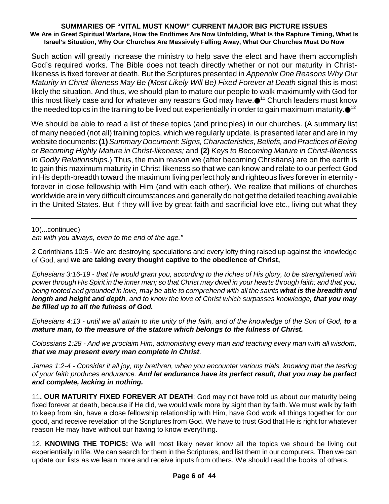Such action will greatly increase the ministry to help save the elect and have them accomplish God's required works. The Bible does not teach directly whether or not our maturity in Christlikeness is fixed forever at death. But the Scriptures presented in *Appendix One Reasons Why Our Maturity in Christ-likeness May Be (Most Likely Will Be) Fixed Forever at Death* signal this is most likely the situation. And thus, we should plan to mature our people to walk maximumly with God for this most likely case and for whatever any reasons God may have. $\bullet^{_{11}}$  Church leaders must know the needed topics in the training to be lived out experientially in order to gain maximum maturity. $\bullet$ 12

We should be able to read a list of these topics (and principles) in our churches. (A summary list of many needed (not all) training topics, which we regularly update, is presented later and are in my website documents: **(1)***Summary Document:Signs, Characteristics,Beliefs, andPractices ofBeing or Becoming Highly Mature in Christ-likeness;* and **(2)** *Keys to Becoming Mature in Christ-likeness In Godly Relationships*.) Thus, the main reason we (after becoming Christians) are on the earth is to gain this maximum maturity in Christ-likeness so that we can know and relate to our perfect God in His depth-breadth toward the maximum living perfect holy and righteous lives forever in eternity forever in close fellowship with Him (and with each other). We realize that millions of churches worldwide are in very difficult circumstances and generally do not get the detailed teaching available in the United States. But if they will live by great faith and sacrificial love etc., living out what they

10(...continued)

*am with you always, even to the end of the age."*

2 Corinthians 10:5 - We are destroying speculations and every lofty thing raised up against the knowledge of God, and **we are taking every thought captive to the obedience of Christ,**

Ephesians 3:16-19 - that He would grant you, according to the riches of His glory, to be strengthened with power through His Spirit in the inner man; so that Christ may dwell in your hearts through faith; and that you, being rooted and grounded in love, may be able to comprehend with all the saints what is the breadth and length and height and depth, and to know the love of Christ which surpasses knowledge, that you may *be filled up to all the fulness of God.*

*Ephesians 4:13 - until we all attain to the unity of the faith, and of the knowledge of the Son of God, to a mature man, to the measure of the stature which belongs to the fulness of Christ.*

*Colossians 1:28 - And we proclaim Him, admonishing every man and teaching every man with all wisdom, that we may present every man complete in Christ.*

James 1:2-4 - Consider it all joy, my brethren, when you encounter various trials, knowing that the testing *of your faith produces endurance. And let endurance have its perfect result, that you may be perfect and complete, lacking in nothing.*

11**. OUR MATURITY FIXED FOREVER AT DEATH**: God may not have told us about our maturity being fixed forever at death, because if He did, we would walk more by sight than by faith. We must walk by faith to keep from sin, have a close fellowship relationship with Him, have God work all things together for our good, and receive revelation of the Scriptures from God. We have to trust God that He is right for whatever reason He may have without our having to know everything.

12. **KNOWING THE TOPICS:** We will most likely never know all the topics we should be living out experientially in life. We can search for them in the Scriptures, and list them in our computers. Then we can update our lists as we learn more and receive inputs from others. We should read the books of others.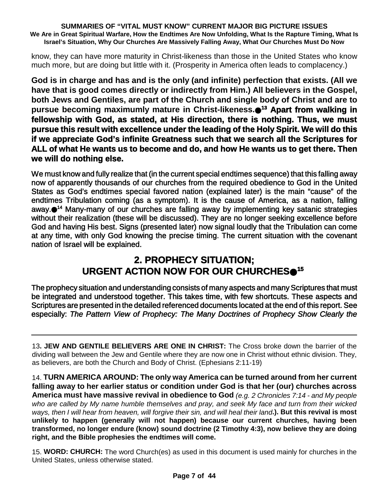know, they can have more maturity in Christ-likeness than those in the United States who know much more, but are doing but little with it. (Prosperity in America often leads to complacency.)

**God is in charge and has and is the only (and infinite) perfection that exists. (All we have that is good comes directly or indirectly from Him.) All believers in the Gospel, both Jews and Gentiles, are part of the Church and single body of Christ and are to pursue becoming maximumly mature in Christ-likeness. <sup>13</sup> Apart from walking in fellowship with God, as stated, at His direction, there is nothing. Thus, we must pursue this result with excellence under the leading of the Holy Spirit. We will do this if we appreciate God's infinite Greatness such that we search all the Scriptures for ALL of what He wants us to become and do, and how He wants us to get there. Then we will do nothing else.**

We must know and fully realize that (in the current special endtimes sequence) that this falling away now of apparently thousands of our churches from the required obedience to God in the United States as God's endtimes special favored nation (explained later) is the main "cause" of the endtimes Tribulation coming (as a symptom). It is the cause of America, as a nation, falling away.●<sup>14</sup> Many-many of our churches are falling away by implementing key satanic strategies without their realization (these will be discussed). They are no longer seeking excellence before God and having His best. Signs (presented later) now signal loudly that the Tribulation can come at any time, with only God knowing the precise timing. The current situation with the covenant nation of Israel will be explained.

## **2. PROPHECY SITUATION; URGENT ACTION NOW FOR OUR CHURCHES 15**

The prophecy situation and understanding consists of many aspects and many Scriptures that must be integrated and understood together. This takes time, with few shortcuts. These aspects and Scriptures are presented in the detailed referenced documents located at the end of this report. See especially: *The Pattern View of Prophecy: The Many Doctrines of Prophecy Show Clearly the*

13**. JEW AND GENTILE BELIEVERS ARE ONE IN CHRIST:** The Cross broke down the barrier of the dividing wall between the Jew and Gentile where they are now one in Christ without ethnic division. They, as believers, are both the Church and Body of Christ. (Ephesians 2:11-19)

14. **TURN AMERICA AROUND: The only way America can be turned around from her current falling away to her earlier status or condition under God is that her (our) churches across America must have massive revival in obedience to God** *(e.g. 2 Chronicles 7:14 - and My people who are called by My name humble themselves and pray, and seek My face and turn from their wicked* ways, then I will hear from heaven, will forgive their sin, and will heal their land.). But this revival is most **unlikely to happen (generally will not happen) because our current churches, having been transformed, no longer endure (know) sound doctrine (2 Timothy 4:3), now believe they are doing right, and the Bible prophesies the endtimes will come.**

15. **WORD: CHURCH:** The word Church(es) as used in this document is used mainly for churches in the United States, unless otherwise stated.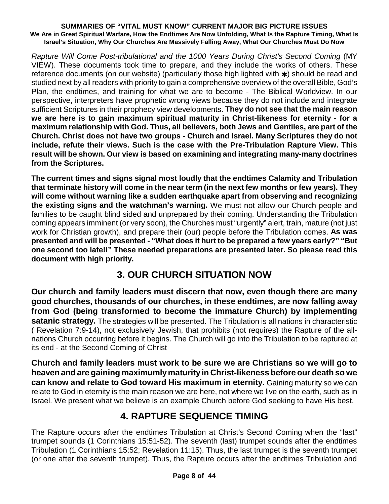*Rapture Will Come Post-tribulational and the 1000 Years During Christ's Second Coming* (MY VIEW). These documents took time to prepare, and they include the works of others. These reference documents (on our website) (particularly those high lighted with  $\ast$ ) should be read and studied next by all readers with priority to gain a comprehensive overview of the overall Bible, God's Plan, the endtimes, and training for what we are to become - The Biblical Worldview. In our perspective, interpreters have prophetic wrong views because they do not include and integrate sufficient Scriptures in their prophecy view developments. **They do not see that the main reason we are here is to gain maximum spiritual maturity in Christ-likeness for eternity - for a maximum relationship with God. Thus, all believers, both Jews and Gentiles, are part of the Church. Christ does not have two groups - Church and Israel. Many Scriptures they do not include, refute their views. Such is the case with the Pre-Tribulation Rapture View. This result will be shown. Our view is based on examining and integrating many-many doctrines from the Scriptures.**

**The current times and signs signal most loudly that the endtimes Calamity and Tribulation that terminate history will come in the near term (in the next few months or few years). They will come without warning like a sudden earthquake apart from observing and recognizing the existing signs and the watchman's warning.** We must not allow our Church people and families to be caught blind sided and unprepared by their coming. Understanding the Tribulation coming appears imminent (or very soon), the Churches must "urgently" alert, train, mature (not just work for Christian growth), and prepare their (our) people before the Tribulation comes. **As was presented and will be presented - "What does it hurt to be prepared a few years early?" "But one second too late!!" These needed preparations are presented later. So please read this document with high priority.**

## **3. OUR CHURCH SITUATION NOW**

**Our church and family leaders must discern that now, even though there are many good churches, thousands of our churches, in these endtimes, are now falling away from God (being transformed to become the immature Church) by implementing satanic strategy.** The strategies will be presented. The Tribulation is all nations in characteristic ( Revelation 7:9-14), not exclusively Jewish, that prohibits (not requires) the Rapture of the allnations Church occurring before it begins. The Church will go into the Tribulation to be raptured at its end - at the Second Coming of Christ

**Church and family leaders must work to be sure we are Christians so we will go to heaven and are gaining maximumlymaturityin Christ-likeness before our death so we can know and relate to God toward His maximum in eternity.** Gaining maturity so we can relate to God in eternity is the main reason we are here, not where we live on the earth, such as in Israel. We present what we believe is an example Church before God seeking to have His best.

## **4. RAPTURE SEQUENCE TIMING**

The Rapture occurs after the endtimes Tribulation at Christ's Second Coming when the "last" trumpet sounds (1 Corinthians 15:51-52). The seventh (last) trumpet sounds after the endtimes Tribulation (1 Corinthians 15:52; Revelation 11:15). Thus, the last trumpet is the seventh trumpet (or one after the seventh trumpet). Thus, the Rapture occurs after the endtimes Tribulation and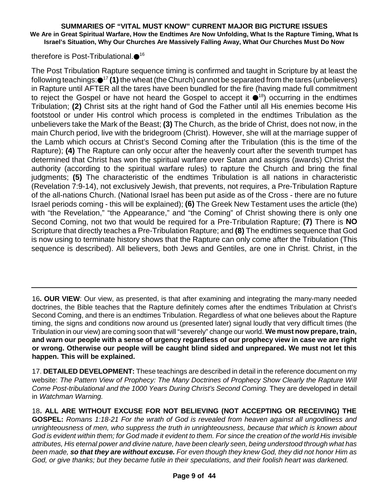therefore is Post-Tribulational.●<sup>16</sup>

The Post Tribulation Rapture sequence timing is confirmed and taught in Scripture by at least the following teachings: <sup>17</sup> **(1)**the wheat (the Church) cannot be separated from the tares (unbelievers) in Rapture until AFTER all the tares have been bundled for the fire (having made full commitment to reject the Gospel or have not heard the Gospel to accept it  $\bullet$ <sup>18</sup>) occurring in the endtimes Tribulation; **(2)** Christ sits at the right hand of God the Father until all His enemies become His footstool or under His control which process is completed in the endtimes Tribulation as the unbelievers take the Mark of the Beast; **(3)** The Church, as the bride of Christ, does not now, in the main Church period, live with the bridegroom (Christ). However, she will at the marriage supper of the Lamb which occurs at Christ's Second Coming after the Tribulation (this is the time of the Rapture); **(4)** The Rapture can only occur after the heavenly court after the seventh trumpet has determined that Christ has won the spiritual warfare over Satan and assigns (awards) Christ the authority (according to the spiritual warfare rules) to rapture the Church and bring the final judgments; **(5)** The characteristic of the endtimes Tribulation is all nations in characteristic (Revelation 7:9-14), not exclusively Jewish, that prevents, not requires, a Pre-Tribulation Rapture of the all-nations Church. (National Israel has been put aside as of the Cross - there are no future Israel periods coming - this will be explained); **(6)** The Greek New Testament uses the article (the) with "the Revelation," "the Appearance," and "the Coming" of Christ showing there is only one Second Coming, not two that would be required for a Pre-Tribulation Rapture; **(7)** There is **NO** Scripture that directly teaches a Pre-Tribulation Rapture; and **(8)** The endtimes sequence that God is now using to terminate history shows that the Rapture can only come after the Tribulation (This sequence is described). All believers, both Jews and Gentiles, are one in Christ. Christ, in the

16**. OUR VIEW**: Our view, as presented, is that after examining and integrating the many-many needed doctrines, the Bible teaches that the Rapture definitely comes after the endtimes Tribulation at Christ's Second Coming, and there is an endtimes Tribulation. Regardless of what one believes about the Rapture timing, the signs and conditions now around us (presented later) signal loudly that very difficult times (the Tribulation in our view) are coming soon that will "severely" change our world. **We must now prepare, train,** and warn our people with a sense of urgency regardless of our prophecy view in case we are right **or wrong. Otherwise our people will be caught blind sided and unprepared. We must not let this happen. This will be explained.**

17. **DETAILED DEVELOPMENT:** These teachings are described in detail in the reference document on my website: *The Pattern View of Prophecy: The Many Doctrines of Prophecy Show Clearly the Rapture Will Come Post-tribulational and the 1000 Years During Christ's Second Coming.* They are developed in detail in *Watchman Warning.*

18**. ALL ARE WITHOUT EXCUSE FOR NOT BELIEVING (NOT ACCEPTING OR RECEIVING) THE GOSPEL:** *Romans 1:18-21 For the wrath of God is revealed from heaven against all ungodliness and unrighteousness of men, who suppress the truth in unrighteousness, because that which is known about* God is evident within them; for God made it evident to them. For since the creation of the world His invisible *attributes, His eternal power and divine nature, have been clearly seen, being understood through what has* been made, so that they are without excuse. For even though they knew God, they did not honor Him as *God, or give thanks; but they became futile in their speculations, and their foolish heart was darkened.*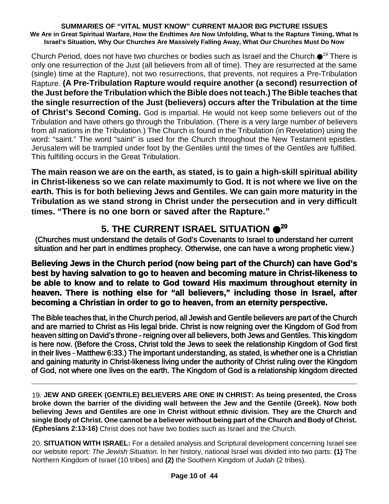Church Period, does not have two churches or bodies such as Israel and the Church.●<sup>19</sup> There is only one resurrection of the Just (all believers from all of time). They are resurrected at the same (single) time at the Rapture), not two resurrections, that prevents, not requires a Pre-Tribulation Rapture. **(A Pre-Tribulation Rapture would require another (a second) resurrection of the Just before the Tribulation which the Bible does not teach.) The Bible teaches that the single resurrection of the Just (believers) occurs after the Tribulation at the time of Christ's Second Coming.** God is impartial. He would not keep some believers out of the Tribulation and have others go through the Tribulation. (There is a very large number of believers from all nations in the Tribulation.) The Church is found in the Tribulation (in Revelation) using the word: "saint." The word "saint" is used for the Church throughout the New Testament epistles. Jerusalem will be trampled under foot by the Gentiles until the times of the Gentiles are fulfilled. This fulfilling occurs in the Great Tribulation.

**The main reason we are on the earth, as stated, is to gain a high-skill spiritual ability in Christ-likeness so we can relate maximumly to God. It is not where we live on the earth. This is for both believing Jews and Gentiles. We can gain more maturity in the Tribulation as we stand strong in Christ under the persecution and in very difficult times. "There is no one born or saved after the Rapture."**

# **5. THE CURRENT ISRAEL SITUATION 20**

(Churches must understand the details of God's Covenants to Israel to understand her current situation and her part in endtimes prophecy. Otherwise, one can have a wrong prophetic view.)

### **Believing Jews in the Church period (now being part of the Church) can have God's best by having salvation to go to heaven and becoming mature in Christ-likeness to be able to know and to relate to God toward His maximum throughout eternity in heaven. There is nothing else for "all believers," including those in Israel, after becoming a Christian in order to go to heaven, from an eternity perspective.**

The Bible teaches that, in the Church period, all Jewish and Gentile believers are part of the Church and are married to Christ as His legal bride. Christ is now reigning over the Kingdom of God from heaven sitting on David's throne - reigning over all believers, both Jews and Gentiles. This kingdom is here now. (Before the Cross, Christ told the Jews to seek the relationship Kingdom of God first in their lives - Matthew 6:33.) The important understanding, as stated, is whether one is a Christian and gaining maturity in Christ-likeness living under the authority of Christ ruling over the Kingdom of God, not where one lives on the earth. The Kingdom of God is a relationship kingdom directed

19. **JEW AND GREEK (GENTILE) BELIEVERS ARE ONE IN CHRIST: As being presented, the Cross broke down the barrier of the dividing wall between the Jew and the Gentile (Greek). Now both believing Jews and Gentiles are one in Christ without ethnic division. They are the Church and** single Body of Christ. One cannot be a believer without being part of the Church and Body of Christ. **(Ephesians 2:13-16)** Christ does not have two bodies such as Israel and the Church.

20. **SITUATION WITH ISRAEL:** For a detailed analysis and Scriptural development concerning Israel see our website report: *The Jewish Situation.* In her history, national Israel was divided into two parts: **(1)** The Northern Kingdom of Israel (10 tribes) and **(2)** the Southern Kingdom of Judah (2 tribes).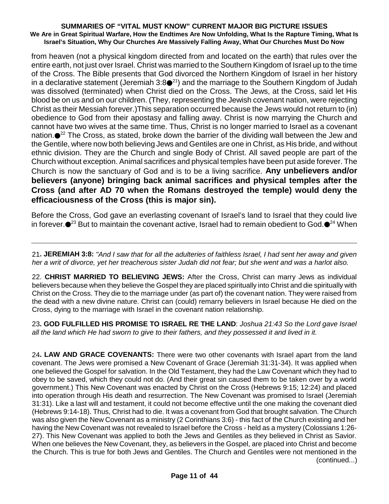from heaven (not a physical kingdom directed from and located on the earth) that rules over the entire earth, not just over Israel. Christ was married to the Southern Kingdom of Israel up to the time of the Cross. The Bible presents that God divorced the Northern Kingdom of Israel in her history in a declarative statement (Jeremiah 3:8 $\bullet^{21}$ ) and the marriage to the Southern Kingdom of Judah was dissolved (terminated) when Christ died on the Cross. The Jews, at the Cross, said let His blood be on us and on our children. (They, representing the Jewish covenant nation, were rejecting Christ as their Messiah forever.)This separation occurred because the Jews would not return to (in) obedience to God from their apostasy and falling away. Christ is now marrying the Church and cannot have two wives at the same time. Thus, Christ is no longer married to Israel as a covenant nation.●<sup>22</sup> The Cross, as stated, broke down the barrier of the dividing wall between the Jew and the Gentile, where now both believing Jews and Gentiles are one in Christ, as His bride, and without ethnic division. They are the Church and single Body of Christ. All saved people are part of the Church without exception. Animal sacrifices and physical temples have been put aside forever. The Church is now the sanctuary of God and is to be a living sacrifice. **Any unbelievers and/or believers (anyone) bringing back animal sacrifices and physical temples after the Cross (and after AD 70 when the Romans destroyed the temple) would deny the efficaciousness of the Cross (this is major sin).**

Before the Cross, God gave an everlasting covenant of Israel's land to Israel that they could live in forever. $\bullet^{23}$  But to maintain the covenant active, Israel had to remain obedient to God. $\bullet^{24}$  When

21. JEREMIAH 3:8: "And I saw that for all the adulteries of faithless Israel, I had sent her away and given *her a writ of divorce, yet her treacherous sister Judah did not fear; but she went and was a harlot also.*

22. **CHRIST MARRIED TO BELIEVING JEWS:** After the Cross, Christ can marry Jews as individual believers because when they believe the Gospel they are placed spiritually into Christ and die spiritually with Christ on the Cross. They die to the marriage under (as part of) the covenant nation. They were raised from the dead with a new divine nature. Christ can (could) remarry believers in Israel because He died on the Cross, dying to the marriage with Israel in the covenant nation relationship.

23**. GOD FULFILLED HIS PROMISE TO ISRAEL RE THE LAND**: *Joshua 21:43 So the Lord gave Israel all the land which He had sworn to give to their fathers, and they possessed it and lived in it.*

24**. LAW AND GRACE COVENANTS:** There were two other covenants with Israel apart from the land covenant. The Jews were promised a New Covenant of Grace (Jeremiah 31:31-34). It was applied when one believed the Gospel for salvation. In the Old Testament, they had the Law Covenant which they had to obey to be saved, which they could not do. (And their great sin caused them to be taken over by a world government.) This New Covenant was enacted by Christ on the Cross (Hebrews 9:15; 12:24) and placed into operation through His death and resurrection. The New Covenant was promised to Israel (Jeremiah 31:31). Like a last will and testament, it could not become effective until the one making the covenant died (Hebrews 9:14-18). Thus, Christ had to die. It was a covenant from God that brought salvation. The Church was also given the New Covenant as a ministry (2 Corinthians 3:6) - this fact of the Church existing and her having the New Covenant was not revealed to Israel before the Cross - held as a mystery (Colossians 1:26- 27). This New Covenant was applied to both the Jews and Gentiles as they believed in Christ as Savior. When one believes the New Covenant, they, as believers in the Gospel, are placed into Christ and become the Church. This is true for both Jews and Gentiles. The Church and Gentiles were not mentioned in the (continued...)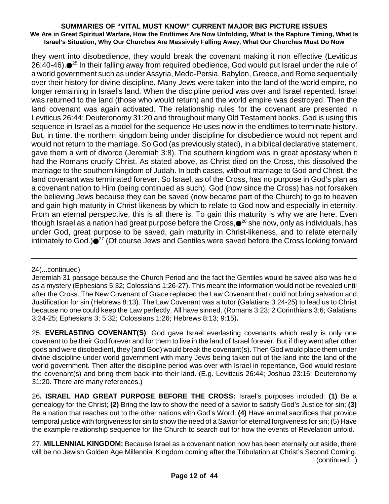they went into disobedience, they would break the covenant making it non effective (Leviticus 26:40-46). $\bullet^{25}$  In their falling away from required obedience, God would put Israel under the rule of a world government such as under Assyria, Medo-Persia, Babylon, Greece, and Rome sequentially over their history for divine discipline. Many Jews were taken into the land of the world empire, no longer remaining in Israel's land. When the discipline period was over and Israel repented, Israel was returned to the land (those who would return) and the world empire was destroyed. Then the land covenant was again activated. The relationship rules for the covenant are presented in Leviticus 26:44; Deuteronomy 31:20 and throughout many Old Testament books. God is using this sequence in Israel as a model for the sequence He uses now in the endtimes to terminate history. But, in time, the northern kingdom being under discipline for disobedience would not repent and would not return to the marriage. So God (as previously stated), in a biblical declarative statement, gave them a writ of divorce (Jeremiah 3:8). The southern kingdom was in great apostasy when it had the Romans crucify Christ. As stated above, as Christ died on the Cross, this dissolved the marriage to the southern kingdom of Judah. In both cases, without marriage to God and Christ, the land covenant was terminated forever. So Israel, as of the Cross, has no purpose in God's plan as a covenant nation to Him (being continued as such). God (now since the Cross) has not forsaken the believing Jews because they can be saved (now became part of the Church) to go to heaven and gain high maturity in Christ-likeness by which to relate to God now and especially in eternity. From an eternal perspective, this is all there is. To gain this maturity is why we are here. Even though Israel as a nation had great purpose before the Cross, $\bullet^{26}$  she now, only as individuals, has under God, great purpose to be saved, gain maturity in Christ-likeness, and to relate eternally intimately to God.)●<sup>27</sup> (Of course Jews and Gentiles were saved before the Cross looking forward

24(...continued)

25. **EVERLASTING COVENANT(S)**: God gave Israel everlasting covenants which really is only one covenant to be their God forever and for them to live in the land of Israel forever. But if they went after other gods and were disobedient, they (and God) would break the covenant(s). Then God would place them under divine discipline under world government with many Jews being taken out of the land into the land of the world government. Then after the discipline period was over with Israel in repentance, God would restore the covenant(s) and bring them back into their land. (E.g. Leviticus 26:44; Joshua 23:16; Deuteronomy 31:20. There are many references.)

26**. ISRAEL HAD GREAT PURPOSE BEFORE THE CROSS:** Israel's purposes included: **(1)** Be a genealogy for the Christ; **(2)** Bring the law to show the need of a savior to satisfy God's Justice for sin; **(3)** Be a nation that reaches out to the other nations with God's Word; **(4)** Have animal sacrifices that provide temporal justice with forgiveness for sin to show the need of a Savior for eternal forgiveness for sin; (5) Have the example relationship sequence for the Church to search out for how the events of Revelation unfold.

27. **MILLENNIAL KINGDOM:** Because Israel as a covenant nation now has been eternally put aside, there will be no Jewish Golden Age Millennial Kingdom coming after the Tribulation at Christ's Second Coming. (continued...)

Jeremiah 31 passage because the Church Period and the fact the Gentiles would be saved also was held as a mystery (Ephesians 5:32; Colossians 1:26-27). This meant the information would not be revealed until after the Cross. The New Covenant of Grace replaced the Law Covenant that could not bring salvation and Justification for sin (Hebrews 8:13). The Law Covenant was a tutor (Galatians 3:24-25) to lead us to Christ because no one could keep the Law perfectly. All have sinned. (Romans 3:23; 2 Corinthians 3:6; Galatians 3:24-25; Ephesians 3; 5:32; Colossians 1:26; Hebrews 8:13; 9:15)**.**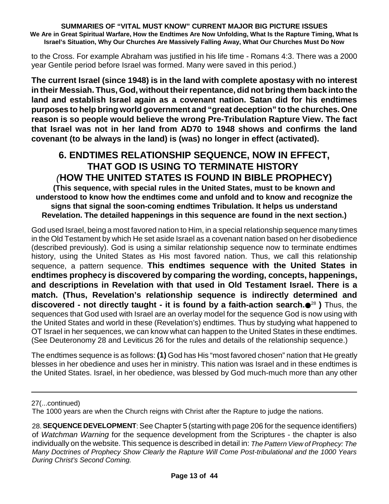to the Cross. For example Abraham was justified in his life time - Romans 4:3. There was a 2000 year Gentile period before Israel was formed. Many were saved in this period.)

**The current Israel (since 1948) is in the land with complete apostasy with no interest in their Messiah. Thus, God, without theirrepentance, did not bring them back into the land and establish Israel again as a covenant nation. Satan did for his endtimes purposes to help bring world government and "great deception" to the churches. One reason is so people would believe the wrong Pre-Tribulation Rapture View. The fact that Israel was not in her land from AD70 to 1948 shows and confirms the land covenant (to be always in the land) is (was) no longer in effect (activated).**

# **6. ENDTIMES RELATIONSHIP SEQUENCE, NOW IN EFFECT, THAT GOD IS USING TO TERMINATE HISTORY** *(***HOW THE UNITED STATES IS FOUND IN BIBLE PROPHECY)**

**(This sequence, with special rules in the United States, must to be known and understood to know how the endtimes come and unfold and to know and recognize the signs that signal the soon-coming endtimes Tribulation. It helps us understand Revelation. The detailed happenings in this sequence are found in the next section.)**

God used Israel, being a most favored nation to Him, in a special relationship sequence many times in the Old Testament by which He set aside Israel as a covenant nation based on her disobedience (described previously). God is using a similar relationship sequence now to terminate endtimes history, using the United States as His most favored nation. Thus, we call this relationship sequence, a pattern sequence. **This endtimes sequence with the United States in endtimes prophecy is discovered by comparing the wording, concepts, happenings, and descriptions in Revelation with that used in Old Testament Israel. There is a match. (Thus, Revelation's relationship sequence is indirectly determined and discovered - not directly taught - it is found by a faith-action search.** <sup>28</sup> **)** Thus, the sequences that God used with Israel are an overlay model for the sequence God is now using with the United States and world in these (Revelation's) endtimes. Thus by studying what happened to OT Israel in her sequences, we can know what can happen to the United States in these endtimes. (See Deuteronomy 28 and Leviticus 26 for the rules and details of the relationship sequence.)

The endtimes sequence is as follows: **(1)** God has His "most favored chosen" nation that He greatly blesses in her obedience and uses her in ministry. This nation was Israel and in these endtimes is the United States. Israel, in her obedience, was blessed by God much-much more than any other

<sup>27(...</sup>continued)

The 1000 years are when the Church reigns with Christ after the Rapture to judge the nations.

<sup>28.</sup>**SEQUENCE DEVELOPMENT**:See Chapter 5 (starting with page 206 for the sequence identifiers) of *Watchman Warning* for the sequence development from the Scriptures - the chapter is also individually on the website. This sequence is described in detail in: *The Pattern View of Prophecy: The Many Doctrines of Prophecy Show Clearly the Rapture Will Come Post-tribulational and the 1000 Years During Christ's Second Coming.*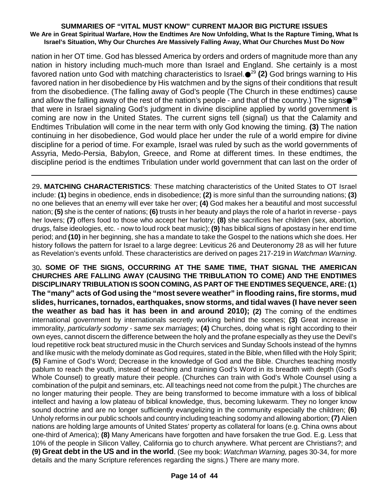nation in her OT time. God has blessed America by orders and orders of magnitude more than any nation in history including much-much more than Israel and England. She certainly is a most favored nation unto God with matching characteristics to Israel.●<sup>29</sup> **(2)** God brings warning to His favored nation in her disobedience by His watchmen and by the signs of their conditions that result from the disobedience. (The falling away of God's people (The Church in these endtimes) cause and allow the falling away of the rest of the nation's people - and that of the country.) The signs $\bigcirc$   $^{30}$ that were in Israel signaling God's judgment in divine discipline applied by world government is coming are now in the United States. The current signs tell (signal) us that the Calamity and Endtimes Tribulation will come in the near term with only God knowing the timing. **(3)** The nation continuing in her disobedience, God would place her under the rule of a world empire for divine discipline for a period of time. For example, Israel was ruled by such as the world governments of Assyria, Medo-Persia, Babylon, Greece, and Rome at different times. In these endtimes, the discipline period is the endtimes Tribulation under world government that can last on the order of

29**. MATCHING CHARACTERISTICS**: These matching characteristics of the United States to OT Israel include: **(1)** begins in obedience, ends in disobedience; **(2)** is more sinful than the surrounding nations; **(3)** no one believes that an enemy will ever take her over; **(4)** God makes her a beautiful and most successful nation; **(5)** she is the center of nations; **(6)** trusts in her beauty and plays the role of a harlot in reverse - pays her lovers; **(7)** offers food to those who accept her harlotry; **(8)** she sacrifices her children (sex, abortion, drugs, false ideologies, etc. - now to loud rock beat music); **(9)** has biblical signs of apostasy in her end time period; and **(10)** in her beginning, she has a mandate to take the Gospel to the nations which she does. Her history follows the pattern for Israel to a large degree: Leviticus 26 and Deuteronomy 28 as will her future as Revelation's events unfold. These characteristics are derived on pages 217-219 in *Watchman Warning*.

30**. SOME OF THE SIGNS, OCCURRING AT THE SAME TIME, THAT SIGNAL THE AMERICAN CHURCHES ARE FALLING AWAY (CAUSING THE TRIBULATION TO COME) AND THE ENDTIMES DISCIPLINARY TRIBULATION IS SOON COMING, AS PART OF THE ENDTIMES SEQUENCE, ARE: (1) The "many" acts of God using the "most severe weather" in flooding rains, fire storms, mud slides, hurricanes, tornados, earthquakes, snow storms, and tidal waves (I have never seen the weather as bad has it has been in and around 2010); (2)** The coming of the endtimes international government by internationals secretly working behind the scenes; **(3)** Great increase in immorality, *particularly sodomy - same sex marriages*; **(4)** Churches, doing what is right according to their own eyes, cannot discern the difference between the holy and the profane especially as they use the Devil's loud repetitive rock beat structured music in the Church services and Sunday Schools instead of the hymns and like music with the melody dominate as God requires, stated in the Bible, when filled with the Holy Spirit; **(5)** Famine of God's Word; Decrease in the knowledge of God and the Bible. Churches teaching mostly pablum to reach the youth, instead of teaching and training God's Word in its breadth with depth (God's Whole Counsel) to greatly mature their people. (Churches can train with God's Whole Counsel using a combination of the pulpit and seminars, etc. All teachings need not come from the pulpit.) The churches are no longer maturing their people. They are being transformed to become immature with a loss of biblical intellect and having a low plateau of biblical knowledge, thus, becoming lukewarm. They no longer know sound doctrine and are no longer sufficiently evangelizing in the community especially the children; **(6)** Unholy reforms in our public schools and country including teaching sodomy and allowing abortion; **(7)** Alien nations are holding large amounts of United States' property as collateral for loans (e.g. China owns about one-third of America); **(8)** Many Americans have forgotten and have forsaken the true God. E.g. Less that 10% of the people in Silicon Valley, California go to church anywhere. What percent are Christians?; and **(9) Great debt in the US and in the world**. (See my book: *Watchman Warning,* pages 30-34, for more details and the many Scripture references regarding the signs.) There are many more.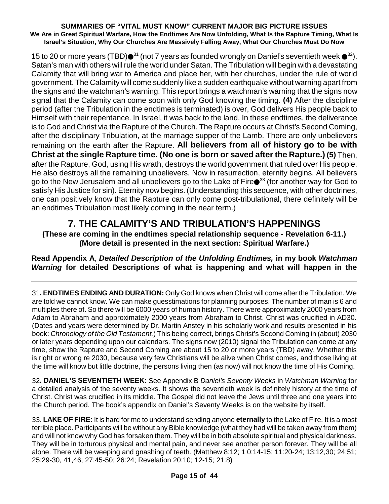15 to 20 or more years (TBD) $\bullet^{31}$  (not 7 years as founded wrongly on Daniel's seventieth week  $\bullet^{32}$ ). Satan's man with others will rule the world under Satan. The Tribulation will begin with a devastating Calamity that will bring war to America and place her, with her churches, under the rule of world government. The Calamity will come suddenly like a sudden earthquake without warning apart from the signs and the watchman's warning. This report brings a watchman's warning that the signs now signal that the Calamity can come soon with only God knowing the timing. **(4)** After the discipline period (after the Tribulation in the endtimes is terminated) is over, God delivers His people back to Himself with their repentance. In Israel, it was back to the land. In these endtimes, the deliverance is to God and Christ via the Rapture of the Church. The Rapture occurs at Christ's Second Coming, after the disciplinary Tribulation, at the marriage supper of the Lamb. There are only unbelievers remaining on the earth after the Rapture. **All believers from all of history go to be with Christ at the single Rapture time. (No one is born or saved after the Rapture.) (5)** Then, after the Rapture, God, using His wrath, destroys the world government that ruled over His people. He also destroys all the remaining unbelievers. Now in resurrection, eternity begins. All believers go to the New Jerusalem and all unbelievers go to the Lake of Fire●<sup>33</sup> (for another way for God to satisfy His Justice for sin). Eternity now begins. (Understanding this sequence, with other doctrines, one can positively know that the Rapture can only come post-tribulational, there definitely will be an endtimes Tribulation most likely coming in the near term.)

## **7. THE CALAMITY'S AND TRIBULATION'S HAPPENINGS**

**(These are coming in the endtimes special relationship sequence - Revelation 6-11.) (More detail is presented in the next section: Spiritual Warfare.)**

**Read Appendix A**, *Detailed Description of the Unfolding Endtimes,* **in my book** *Watchman Warning* **for detailed Descriptions of what is happening and what will happen in the**

31**. ENDTIMES ENDING AND DURATION:** Only God knows when Christ will come after the Tribulation. We are told we cannot know. We can make guesstimations for planning purposes. The number of man is 6 and multiples there of. So there will be 6000 years of human history. There were approximately 2000 years from Adam to Abraham and approximately 2000 years from Abraham to Christ. Christ was crucified in AD30. (Dates and years were determined by Dr. Martin Anstey in his scholarly work and results presented in his book: *Chronology of the Old Testament.*) This being correct, brings Christ's Second Coming in (about) 2030 or later years depending upon our calendars. The signs now (2010) signal the Tribulation can come at any time, show the Rapture and Second Coming are about 15 to 20 or more years (TBD) away. Whether this is right or wrong re 2030, because very few Christians will be alive when Christ comes, and those living at the time will know but little doctrine, the persons living then (as now) will not know the time of His Coming.

32**. DANIEL'S SEVENTIETH WEEK:** See Appendix B *Daniel's Seventy Weeks* in *Watchman Warning* for a detailed analysis of the seventy weeks. It shows the seventieth week is definitely history at the time of Christ. Christ was crucified in its middle. The Gospel did not leave the Jews until three and one years into the Church period. The book's appendix on Daniel's Seventy Weeks is on the website by itself.

33. **LAKE OF FIRE:** It is hard for me to understand sending anyone **eternally** to the Lake of Fire. It is a most terrible place. Participants will be without any Bible knowledge (what they had will be taken away from them) and will not know why God has forsaken them. They will be in both absolute spiritual and physical darkness. They will be in torturous physical and mental pain, and never see another person forever. They will be all alone. There will be weeping and gnashing of teeth. (Matthew 8:12; 1 0:14-15; 11:20-24; 13:12,30; 24:51; 25:29-30, 41,46; 27:45-50; 26:24; Revelation 20:10; 12-15; 21:8)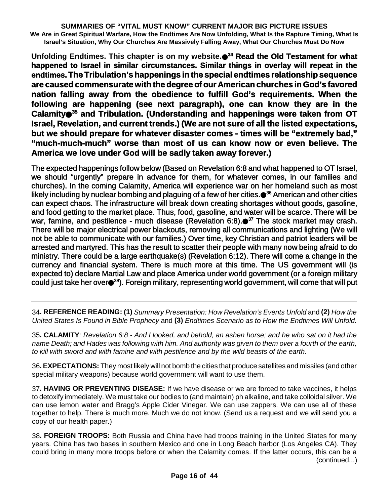**Unfolding Endtimes. This chapter is on my website. <sup>34</sup> Read the Old Testament for what happened to Israel in similar circumstances. Similar things in overlay will repeat in the endtimes.The Tribulation's happenings in the special endtimes relationship sequence are caused commensurate with the degree of our American churches in God's favored nation falling away from the obedience to fulfill God's requirements. When the following are happening (see next paragraph), one can know they are in the Calamity <sup>35</sup> and Tribulation. (Understanding and happenings were taken from OT Israel, Revelation, and current trends.) (We are not sure of all the listed expectations, but we should prepare for whatever disaster comes - times will be "extremely bad," "much-much-much" worse than most of us can know now or even believe. The America we love under God will be sadly taken away forever.)**

The expected happenings follow below (Based on Revelation 6:8 and what happened to OT Israel, we should "urgently" prepare in advance for them, for whatever comes, in our families and churches). In the coming Calamity, America will experience war on her homeland such as most likely including by nuclear bombing and plaguing of a few of her cities. <sup>36</sup> American and other cities can expect chaos. The infrastructure will break down creating shortages without goods, gasoline, and food getting to the market place. Thus, food, gasoline, and water will be scarce. There will be war, famine, and pestilence - much disease (Revelation 6:8). <sup>37</sup> The stock market may crash. There will be major electrical power blackouts, removing all communications and lighting (We will not be able to communicate with our families.) Over time, key Christian and patriot leaders will be arrested and martyred. This has the result to scatter their people with many now being afraid to do ministry. There could be a large earthquake(s) (Revelation 6:12). There will come a change in the currency and financial system. There is much more at this time. The US government will (is expected to) declare Martial Law and place America under world government (or a foreign military could just take her over●<sup>38</sup>). Foreign military, representing world government, will come that will put

34**. REFERENCE READING: (1)** *Summary Presentation: How Revelation's Events Unfold* and **(2)** *How the United States Is Found in Bible Prophecy* and **(3)** *Endtimes Scenario as to How the Endtimes Will Unfold.*

35**. CALAMITY***: Revelation 6:8 - And I looked, and behold, an ashen horse; and he who sat on it had the* name Death; and Hades was following with him. And authority was given to them over a fourth of the earth, *to kill with sword and with famine and with pestilence and by the wild beasts of the earth.*

36**. EXPECTATIONS:** They most likely will not bomb the cities that produce satellites and missiles (and other special military weapons) because world government will want to use them.

37**. HAVING OR PREVENTING DISEASE:** If we have disease or we are forced to take vaccines, it helps to detoxify immediately. We must take our bodies to (and maintain) ph alkaline, and take colloidal silver. We can use lemon water and Bragg's Apple Cider Vinegar. We can use zappers. We can use all of these together to help. There is much more. Much we do not know. (Send us a request and we will send you a copy of our health paper.)

38**. FOREIGN TROOPS:** Both Russia and China have had troops training in the United States for many years. China has two bases in southern Mexico and one in Long Beach harbor (Los Angeles CA). They could bring in many more troops before or when the Calamity comes. If the latter occurs, this can be a (continued...)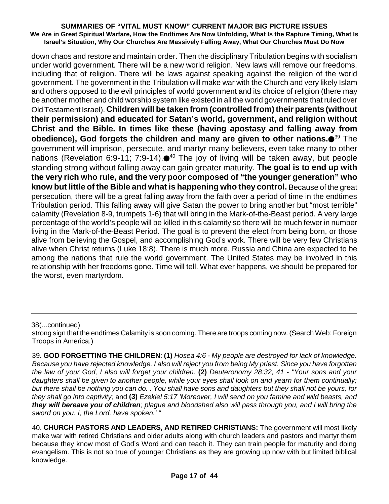down chaos and restore and maintain order. Then the disciplinary Tribulation begins with socialism under world government. There will be a new world religion. New laws will remove our freedoms, including that of religion. There will be laws against speaking against the religion of the world government. The government in the Tribulation will make war with the Church and very likely Islam and others opposed to the evil principles of world government and its choice of religion (there may be another mother and child worship system like existed in all the world governments that ruled over Old Testament Israel). **Children will be taken from (controlled from)their parents (without their permission) and educated for Satan's world, government, and religion without Christ and the Bible. In times like these (having apostasy and falling away from obedience), God forgets the children and many are given to other nations.** <sup>39</sup> The government will imprison, persecute, and martyr many believers, even take many to other nations (Revelation 6:9-11; 7:9-14).●<sup>40</sup> The joy of living will be taken away, but people standing strong without falling away can gain greater maturity. **The goal is to end up with the very rich who rule, and the very poor composed of "the younger generation" who know but little of the Bible and what is happening who they control.** Because of the great persecution, there will be a great falling away from the faith over a period of time in the endtimes Tribulation period. This falling away will give Satan the power to bring another but "most terrible" calamity (Revelation 8-9, trumpets 1-6) that will bring in the Mark-of-the-Beast period. A very large percentage of the world's people will be killed in this calamity so there will be much fewer in number living in the Mark-of-the-Beast Period. The goal is to prevent the elect from being born, or those alive from believing the Gospel, and accomplishing God's work. There will be very few Christians alive when Christ returns (Luke 18:8). There is much more. Russia and China are expected to be among the nations that rule the world government. The United States may be involved in this relationship with her freedoms gone. Time will tell. What ever happens, we should be prepared for the worst, even martyrdom.

38(...continued)

strong sign that the endtimes Calamity is soon coming. There are troops coming now. (Search Web: Foreign Troops in America.)

<sup>39</sup>**. GOD FORGETTING THE CHILDREN**: **(1)** *Hosea 4:6 - My people are destroyed for lack of knowledge.* Because you have rejected knowledge, I also will reject you from being My priest. Since you have forgotten *the law of your God, I also will forget your children.* **(2)** *Deuteronomy 28:32, 41 - "Your sons and your daughters shall be given to another people, while your eyes shall look on and yearn for them continually;* but there shall be nothing you can do. . You shall have sons and daughters but they shall not be yours, for *they shall go into captivity;* and **(3)** *Ezekiel 5:17 'Moreover, I will send on you famine and wild beasts, and they will bereave you of children; plague and bloodshed also will pass through you, and I will bring the sword on you. I, the Lord, have spoken.' "*

<sup>40.</sup> **CHURCH PASTORS AND LEADERS, AND RETIRED CHRISTIANS:** The government will most likely make war with retired Christians and older adults along with church leaders and pastors and martyr them because they know most of God's Word and can teach it. They can train people for maturity and doing evangelism. This is not so true of younger Christians as they are growing up now with but limited biblical knowledge.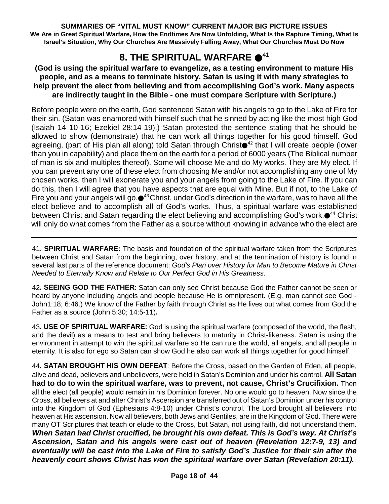# **8. THE SPIRITUAL WARFARE ●<sup>41</sup>**

### **(God is using the spiritual warfare to evangelize, as a testing environment to mature His people, and as a means to terminate history. Satan is using it with many strategies to help prevent the elect from believing and from accomplishing God's work. Many aspects are indirectly taught in the Bible - one must compare Scripture with Scripture.)**

Before people were on the earth, God sentenced Satan with his angels to go to the Lake of Fire for their sin. (Satan was enamored with himself such that he sinned by acting like the most high God (Isaiah 14 10-16; Ezekiel 28:14-19).) Satan protested the sentence stating that he should be allowed to show (demonstrate) that he can work all things together for his good himself. God agreeing, (part of His plan all along) told Satan through Christ●<sup>42</sup> that I will create people (lower than you in capability) and place them on the earth for a period of 6000 years (The Biblical number of man is six and multiples thereof). Some will choose Me and do My works. They are My elect. If you can prevent any one of these elect from choosing Me and/or not accomplishing any one of My chosen works, then I will exonerate you and your angels from going to the Lake of Fire. If you can do this, then I will agree that you have aspects that are equal with Mine. But if not, to the Lake of Fire you and your angels will go.●<sup>43</sup>Christ, under God's direction in the warfare, was to have all the elect believe and to accomplish all of God's works. Thus, a spiritual warfare was established between Christ and Satan regarding the elect believing and accomplishing God's work.●<sup>44</sup> Christ will only do what comes from the Father as a source without knowing in advance who the elect are

41. **SPIRITUAL WARFARE:** The basis and foundation of the spiritual warfare taken from the Scriptures between Christ and Satan from the beginning, over history, and at the termination of history is found in several last parts of the reference document: *God's Plan over History for Man to Become Mature in Christ Needed to Eternally Know and Relate to Our Perfect God in His Greatness*.

42**. SEEING GOD THE FATHER**: Satan can only see Christ because God the Father cannot be seen or heard by anyone including angels and people because He is omnipresent. (E.g. man cannot see God - John1:18; 6:46.) We know of the Father by faith through Christ as He lives out what comes from God the Father as a source (John 5:30; 14:5-11)**.**

43**. USE OF SPIRITUAL WARFARE:** God is using the spiritual warfare (composed of the world, the flesh, and the devil) as a means to test and bring believers to maturity in Christ-likeness. Satan is using the environment in attempt to win the spiritual warfare so He can rule the world, all angels, and all people in eternity. It is also for ego so Satan can show God he also can work all things together for good himself.

44**. SATAN BROUGHT HIS OWN DEFEAT**: Before the Cross, based on the Garden of Eden, all people, alive and dead, believers and unbelievers, were held in Satan's Dominion and under his control. **All Satan had to do to win the spiritual warfare, was to prevent, not cause, Christ's Crucifixion.** Then all the elect (all people) would remain in his Dominion forever. No one would go to heaven. Now since the Cross, all believers at and after Christ's Ascension are transferred out of Satan's Dominion under his control into the Kingdom of God (Ephesians 4:8-10) under Christ's control. The Lord brought all believers into heaven at His ascension. Now all believers, both Jews and Gentiles, are in the Kingdom of God. There were many OT Scriptures that teach or elude to the Cross, but Satan, not using faith, did not understand them. *When Satan had Christ crucified, he brought his own defeat. This is God's way. At Christ's Ascension, Satan and his angels were cast out of heaven (Revelation 12:7-9, 13) and eventually will be cast into the Lake of Fire to satisfy God's Justice for their sin after the heavenly court shows Christ has won the spiritual warfare over Satan (Revelation 20:11).*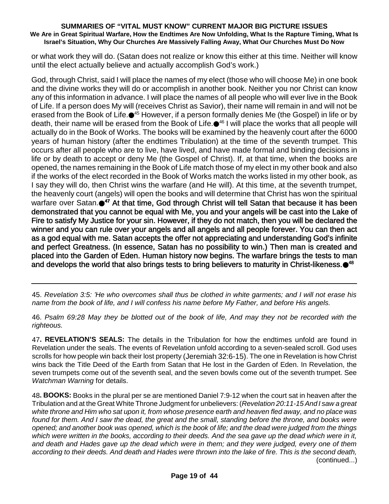or what work they will do. (Satan does not realize or know this either at this time. Neither will know until the elect actually believe and actually accomplish God's work.)

God, through Christ, said I will place the names of my elect (those who will choose Me) in one book and the divine works they will do or accomplish in another book. Neither you nor Christ can know any of this information in advance. I will place the names of all people who will ever live in the Book of Life. If a person does My will (receives Christ as Savior), their name will remain in and will not be erased from the Book of Life.●<sup>45</sup> However, if a person formally denies Me (the Gospel) in life or by death, their name will be erased from the Book of Life.●<sup>46</sup> I will place the works that all people will actually do in the Book of Works. The books will be examined by the heavenly court after the 6000 years of human history (after the endtimes Tribulation) at the time of the seventh trumpet. This occurs after all people who are to live, have lived, and have made formal and binding decisions in life or by death to accept or deny Me (the Gospel of Christ). If, at that time, when the books are opened, the names remaining in the Book of Life match those of my elect in my other book and also if the works of the elect recorded in the Book of Works match the works listed in my other book, as I say they will do, then Christ wins the warfare (and He will). At this time, at the seventh trumpet, the heavenly court (angels) will open the books and will determine that Christ has won the spiritual warfare over Satan. **<sup>47</sup>** At that time, God through Christ will tell Satan that because it has been demonstrated that you cannot be equal with Me, you and your angels will be cast into the Lake of Fire to satisfy My Justice for your sin. However, if they do not match, then you will be declared the winner and you can rule over your angels and all angels and all people forever. You can then act as a god equal with me. Satan accepts the offer not appreciating and understanding God's infinite and perfect Greatness. (In essence, Satan has no possibility to win.) Then man is created and placed into the Garden of Eden. Human history now begins. The warfare brings the tests to man and develops the world that also brings tests to bring believers to maturity in Christ-likeness. $\bullet^{48}$ 

45. *Revelation 3:5: 'He who overcomes shall thus be clothed in white garments; and I will not erase his name from the book of life, and I will confess his name before My Father, and before His angels.*

46. *Psalm 69:28 May they be blotted out of the book of life, And may they not be recorded with the righteous.*

47**. REVELATION'S SEALS:** The details in the Tribulation for how the endtimes unfold are found in Revelation under the seals. The events of Revelation unfold according to a seven-sealed scroll. God uses scrolls for how people win back their lost property (Jeremiah 32:6-15). The one in Revelation is how Christ wins back the Title Deed of the Earth from Satan that He lost in the Garden of Eden. In Revelation, the seven trumpets come out of the seventh seal, and the seven bowls come out of the seventh trumpet. See *Watchman Warning* for details.

48**. BOOKS:** Books in the plural per se are mentioned Daniel 7:9-12 when the court sat in heaven after the Tribulation and at the Great White Throne Judgment for unbelievers: (*Revelation 20:11-15 And I saw a great* white throne and Him who sat upon it, from whose presence earth and heaven fled away, and no place was *found for them. And I saw the dead, the great and the small, standing before the throne, and books were* opened; and another book was opened, which is the book of life; and the dead were judged from the things which were written in the books, according to their deeds. And the sea gave up the dead which were in it, *and death and Hades gave up the dead which were in them; and they were judged, every one of them* according to their deeds. And death and Hades were thrown into the lake of fire. This is the second death, (continued...)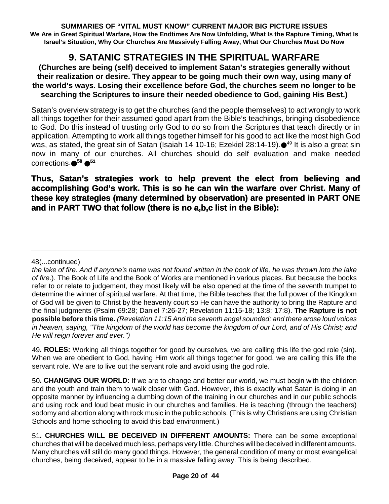# **9. SATANIC STRATEGIES IN THE SPIRITUAL WARFARE**

### **(Churches are being (self) deceived to implement Satan's strategies generally without their realization or desire. They appear to be going much their own way, using many of the world's ways. Losing their excellence before God, the churches seem no longer to be searching the Scriptures to insure their needed obedience to God, gaining His Best.)**

Satan's overview strategy is to get the churches (and the people themselves) to act wrongly to work all things together for their assumed good apart from the Bible's teachings, bringing disobedience to God. Do this instead of trusting only God to do so from the Scriptures that teach directly or in application. Attempting to work all things together himself for his good to act like the most high God was, as stated, the great sin of Satan (Isaiah 14 10-16; Ezekiel 28:14-19).●<sup>49</sup> It is also a great sin now in many of our churches. All churches should do self evaluation and make needed corrections. **<sup>50</sup> 51**

### **Thus, Satan's strategies work to help prevent the elect from believing and accomplishing God's work. This is so he can win the warfare over Christ. Many of these key strategies (many determined by observation) are presented in PART ONE and in PART TWO that follow (there is no a,b,c list in the Bible):**

### 48(...continued)

49**. ROLES:** Working all things together for good by ourselves, we are calling this life the god role (sin). When we are obedient to God, having Him work all things together for good, we are calling this life the servant role. We are to live out the servant role and avoid using the god role.

50**. CHANGING OUR WORLD:** If we are to change and better our world, we must begin with the children and the youth and train them to walk closer with God. However, this is exactly what Satan is doing in an opposite manner by influencing a dumbing down of the training in our churches and in our public schools and using rock and loud beat music in our churches and families. He is teaching (through the teachers) sodomy and abortion along with rock music in the public schools. (This is why Christians are using Christian Schools and home schooling to avoid this bad environment.)

the lake of fire. And if anyone's name was not found written in the book of life, he was thrown into the lake *of fire*.). The Book of Life and the Book of Works are mentioned in various places. But because the books refer to or relate to judgement, they most likely will be also opened at the time of the seventh trumpet to determine the winner of spiritual warfare. At that time, the Bible teaches that the full power of the Kingdom of God will be given to Christ by the heavenly court so He can have the authority to bring the Rapture and the final judgments (Psalm 69:28; Daniel 7:26-27; Revelation 11:15-18; 13:8; 17:8). **The Rapture is not possible before this time.** *(Revelation 11:15 And the seventh angel sounded; and there arose loud voices* in heaven, saying. "The kingdom of the world has become the kingdom of our Lord, and of His Christ; and *He will reign forever and ever.")*

<sup>51</sup>**. CHURCHES WILL BE DECEIVED IN DIFFERENT AMOUNTS:** There can be some exceptional churches that will be deceived much less, perhaps very little. Churches will be deceived in different amounts. Many churches will still do many good things. However, the general condition of many or most evangelical churches, being deceived, appear to be in a massive falling away. This is being described.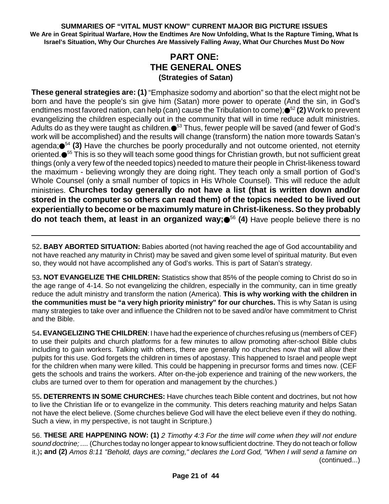### **PART ONE: THE GENERAL ONES (Strategies of Satan)**

**These general strategies are: (1)** "Emphasize sodomy and abortion" so that the elect might not be born and have the people's sin give him (Satan) more power to operate (And the sin, in God's endtimes most favored nation, can help (can) cause the Tribulation to come);●<sup>52</sup> **(2)** Work to prevent evangelizing the children especially out in the community that will in time reduce adult ministries. Adults do as they were taught as children.● $^{53}$  Thus, fewer people will be saved (and fewer of God's work will be accomplished) and the results will change (transform) the nation more towards Satan's agenda;●<sup>54</sup> (3) Have the churches be poorly procedurally and not outcome oriented, not eternity oriented.●<sup>55</sup> This is so they will teach some good things for Christian growth, but not sufficient great things (only a very few of the needed topics) needed to mature their people in Christ-likeness toward the maximum - believing wrongly they are doing right. They teach only a small portion of God's Whole Counsel (only a small number of topics in His Whole Counsel). This will reduce the adult ministries. **Churches today generally do not have a list (that is written down and/or stored in the computer so others can read them) of the topics needed to be lived out experientially to become or be maximumly mature in Christ-likeness. So they probably do not teach them, at least in an organized way;** <sup>56</sup> **(4)** Have people believe there is no

52**. BABY ABORTED SITUATION:** Babies aborted (not having reached the age of God accountability and not have reached any maturity in Christ) may be saved and given some level of spiritual maturity. But even so, they would not have accomplished any of God's works. This is part of Satan's strategy.

53**. NOT EVANGELIZE THE CHILDREN:** Statistics show that 85% of the people coming to Christ do so in the age range of 4-14. So not evangelizing the children, especially in the community, can in time greatly reduce the adult ministry and transform the nation (America). **This is why working with the children in the communities must be "a very high priority ministry" for our churches.** This is why Satan is using many strategies to take over and influence the Children not to be saved and/or have commitment to Christ and the Bible.

54**. EVANGELIZING THE CHILDREN**: I have had the experience of churches refusing us (members of CEF) to use their pulpits and church platforms for a few minutes to allow promoting after-school Bible clubs including to gain workers. Talking with others, there are generally no churches now that will allow their pulpits for this use. God forgets the children in times of apostasy. This happened to Israel and people wept for the children when many were killed. This could be happening in precursor forms and times now. (CEF gets the schools and trains the workers. After on-the-job experience and training of the new workers, the clubs are turned over to them for operation and management by the churches.)

55**. DETERRENTS IN SOME CHURCHES:** Have churches teach Bible content and doctrines, but not how to live the Christian life or to evangelize in the community. This deters reaching maturity and helps Satan not have the elect believe. (Some churches believe God will have the elect believe even if they do nothing. Such a view, in my perspective, is not taught in Scripture.)

56. **THESE ARE HAPPENING NOW: (1)** *2 Timothy 4:3 For the time will come when they will not endure sound doctrine; ....* (Churches today no longer appear to know sufficient doctrine. They do not teach or follow it.)**; and (2)** *Amos 8:11 "Behold, days are coming," declares the Lord God, "When I will send a famine on* (continued...)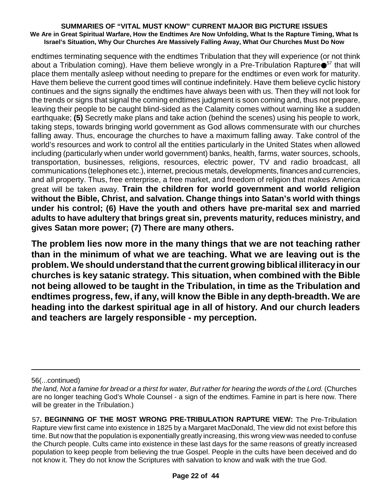endtimes terminating sequence with the endtimes Tribulation that they will experience (or not think about a Tribulation coming). Have them believe wrongly in a Pre-Tribulation Rapture $\bullet^{57}$  that will place them mentally asleep without needing to prepare for the endtimes or even work for maturity. Have them believe the current good times will continue indefinitely. Have them believe cyclic history continues and the signs signally the endtimes have always been with us. Then they will not look for the trends or signs that signal the coming endtimes judgment is soon coming and, thus not prepare, leaving their people to be caught blind-sided as the Calamity comes without warning like a sudden earthquake; **(5)** Secretly make plans and take action (behind the scenes) using his people to work, taking steps, towards bringing world government as God allows commensurate with our churches falling away. Thus, encourage the churches to have a maximum falling away. Take control of the world's resources and work to control all the entities particularly in the United States when allowed including (particularly when under world government) banks, health, farms, water sources, schools, transportation, businesses, religions, resources, electric power, TV and radio broadcast, all communications (telephones etc.), internet, precious metals, developments, finances and currencies, and all property. Thus, free enterprise, a free market, and freedom of religion that makes America great will be taken away. **Train the children for world government and world religion without the Bible, Christ, and salvation. Change things into Satan's world with things under his control; (6) Have the youth and others have pre-marital sex and married adults to have adultery that brings great sin, prevents maturity, reduces ministry, and gives Satan more power; (7) There are many others.**

**The problem lies now more in the many things that we are not teaching rather than in the minimum of what we are teaching. What we are leaving out is the problem. We should understand thatthe current growing biblical illiteracyin our churches is key satanic strategy. This situation, when combined with the Bible not being allowed to be taught in the Tribulation, in time as the Tribulation and endtimes progress, few, if any, will know the Bible in any depth-breadth. We are heading into the darkest spiritual age in all of history. And our church leaders and teachers are largely responsible - my perception.**

56(...continued)

the land, Not a famine for bread or a thirst for water, But rather for hearing the words of the Lord. (Churches are no longer teaching God's Whole Counsel - a sign of the endtimes. Famine in part is here now. There will be greater in the Tribulation.)

<sup>57</sup>**. BEGINNING OF THE MOST WRONG PRE-TRIBULATION RAPTURE VIEW:** The Pre-Tribulation Rapture view first came into existence in 1825 by a Margaret MacDonald, The view did not exist before this time. But now that the population is exponentially greatly increasing, this wrong view was needed to confuse the Church people. Cults came into existence in these last days for the same reasons of greatly increased population to keep people from believing the true Gospel. People in the cults have been deceived and do not know it. They do not know the Scriptures with salvation to know and walk with the true God.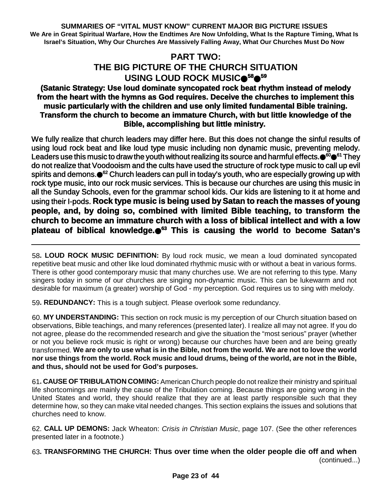### **PART TWO: THE BIG PICTURE OF THE CHURCH SITUATION USING LOUD ROCK MUSIC <sup>58</sup> 59**

### **(Satanic Strategy: Use loud dominate syncopated rock beat rhythm instead of melody from the heart with the hymns as God requires. Deceive the churches to implement this music particularly with the children and use only limited fundamental Bible training. Transform the church to become an immature Church, with but little knowledge of the Bible, accomplishing but little ministry.**

We fully realize that church leaders may differ here. But this does not change the sinful results of using loud rock beat and like loud type music including non dynamic music, preventing melody. Leaders use this music to draw the youth without realizing its source and harmful effects.●<sup>60</sup>●<sup>61</sup> They do not realize that Voodooism and the cults have used the structure of rock type music to call up evil spirits and demons.●<sup>62</sup> Church leaders can pull in today's youth, who are especially growing up with rock type music, into our rock music services. This is because our churches are using this music in all the Sunday Schools, even for the grammar school kids. Our kids are listening to it at home and using their I-pods. **Rock type music is being used by Satan to reach the masses of young people, and, by doing so, combined with limited Bible teaching, to transform the church to become an immature church with a loss of biblical intellect and with a low plateau of biblical knowledge. <sup>63</sup> This is causing the world to become Satan's**

58**. LOUD ROCK MUSIC DEFINITION:** By loud rock music, we mean a loud dominated syncopated repetitive beat music and other like loud dominated rhythmic music with or without a beat in various forms. There is other good contemporary music that many churches use. We are not referring to this type. Many singers today in some of our churches are singing non-dynamic music. This can be lukewarm and not desirable for maximum (a greater) worship of God - my perception. God requires us to sing with melody.

59**. REDUNDANCY:** This is a tough subject. Please overlook some redundancy.

60. **MY UNDERSTANDING:** This section on rock music is my perception of our Church situation based on observations, Bible teachings, and many references (presented later). I realize all may not agree. If you do not agree, please do the recommended research and give the situation the "most serious" prayer (whether or not you believe rock music is right or wrong) because our churches have been and are being greatly transformed. We are only to use what is in the Bible, not from the world. We are not to love the world nor use things from the world. Rock music and loud drums, being of the world, are not in the Bible, **and thus, should not be used for God's purposes.**

61**. CAUSE OF TRIBULATION COMING:** American Church people do not realize their ministry and spiritual life shortcomings are mainly the cause of the Tribulation coming. Because things are going wrong in the United States and world, they should realize that they are at least partly responsible such that they determine how, so they can make vital needed changes. This section explains the issues and solutions that churches need to know.

62. **CALL UP DEMONS:** Jack Wheaton: *Crisis in Christian Music*, page 107. (See the other references presented later in a footnote.)

63**. TRANSFORMING THE CHURCH: Thus over time when the older people die off and when** (continued...)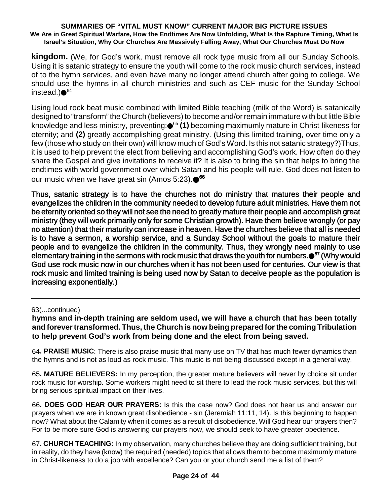**kingdom.** (We, for God's work, must remove all rock type music from all our Sunday Schools. Using it is satanic strategy to ensure the youth will come to the rock music church services, instead of to the hymn services, and even have many no longer attend church after going to college. We should use the hymns in all church ministries and such as CEF music for the Sunday School instead.)●<sup>64</sup>

Using loud rock beat music combined with limited Bible teaching (milk of the Word) is satanically designed to "transform" the Church (believers) to become and/or remain immature with but little Bible knowledge and less ministry, preventing: <sup>65</sup> **(1)** becoming maximumly mature in Christ-likeness for eternity; and **(2)** greatly accomplishing great ministry. (Using this limited training, over time only a few (those who study on their own) will know much of God's Word. Is this not satanic strategy?)Thus, it is used to help prevent the elect from believing and accomplishing God's work. How often do they share the Gospel and give invitations to receive it? It is also to bring the sin that helps to bring the endtimes with world government over which Satan and his people will rule. God does not listen to our music when we have great sin (Amos 5:23). **66**

Thus, satanic strategy is to have the churches not do ministry that matures their people and evangelizes the children in the community needed to develop future adult ministries. Have them not be eternity oriented so they will not see the need to greatly mature their people and accomplish great ministry (they will work primarily only for some Christian growth). Have them believe wrongly (or pay no attention) that their maturity can increase in heaven. Have the churches believe that all is needed is to have a sermon, a worship service, and a Sunday School without the goals to mature their people and to evangelize the children in the community. Thus, they wrongly need mainly to use elementary training in the sermons with rock music that draws the youth for numbers. <sup>67</sup> (Why would God use rock music now in our churches when it has not been used for centuries. Our view is that rock music and limited training is being used now by Satan to deceive people as the population is increasing exponentially.)

### 63(...continued)

**hymns and in-depth training are seldom used, we will have a church that has been totally and forevertransformed. Thus, the Church is now being prepared forthe coming Tribulation to help prevent God's work from being done and the elect from being saved.**

64**. PRAISE MUSIC**: There is also praise music that many use on TV that has much fewer dynamics than the hymns and is not as loud as rock music. This music is not being discussed except in a general way.

65**. MATURE BELIEVERS:** In my perception, the greater mature believers will never by choice sit under rock music for worship. Some workers might need to sit there to lead the rock music services, but this will bring serious spiritual impact on their lives.

66**. DOES GOD HEAR OUR PRAYERS:** Is this the case now? God does not hear us and answer our prayers when we are in known great disobedience - sin (Jeremiah 11:11, 14). Is this beginning to happen now? What about the Calamity when it comes as a result of disobedience. Will God hear our prayers then? For to be more sure God is answering our prayers now, we should seek to have greater obedience.

67**. CHURCH TEACHING:** In my observation, many churches believe they are doing sufficient training, but in reality, do they have (know) the required (needed) topics that allows them to become maximumly mature in Christ-likeness to do a job with excellence? Can you or your church send me a list of them?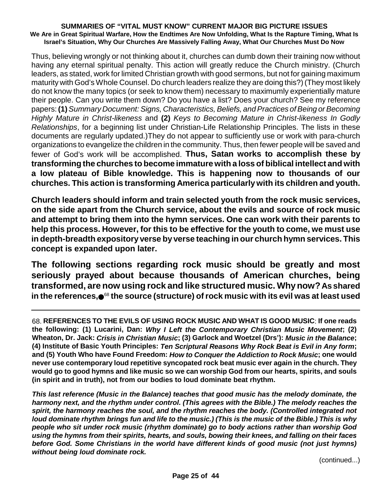Thus, believing wrongly or not thinking about it, churches can dumb down their training now without having any eternal spiritual penalty. This action will greatly reduce the Church ministry. (Church leaders, as stated, work for limited Christian growth with good sermons, but not for gaining maximum maturity with God's Whole Counsel. Do church leaders realize they are doing this?) (They most likely do not know the many topics (or seek to know them) necessary to maximumly experientially mature their people. Can you write them down? Do you have a list? Does your church? See my reference papers:**(1)***Summary Document: Signs, Characteristics,Beliefs, andPractices ofBeing orBecoming Highly Mature in Christ-likeness* and **(2)** *Keys to Becoming Mature in Christ-likeness In Godly Relationships*, for a beginning list under Christian-Life Relationship Principles. The lists in these documents are regularly updated.)They do not appear to sufficiently use or work with para-church organizations to evangelize the children in the community. Thus, then fewer people will be saved and fewer of God's work will be accomplished. **Thus, Satan works to accomplish these by transforming the churches to become immature with a loss of biblical intellect and with a low plateau of Bible knowledge. This is happening now to thousands of our churches. This action is transforming America particularly with its children and youth.**

**Church leaders should inform and train selected youth from the rock music services, on the side apart from the Church service, about the evils and source of rock music and attempt to bring them into the hymn services. One can work with their parents to help this process. However, for this to be effective for the youth to come, we must use in depth-breadth expository verse by verse teaching in our church hymn services. This concept is expanded upon later.**

**The following sections regarding rock music should be greatly and most seriously prayed about because thousands of American churches, being transformed, are now using rock and like structured music. Whynow?As shared in the references,** <sup>68</sup> **the source (structure) ofrock music with its evil was at least used**

*This last reference (Music in the Balance) teaches that good music has the melody dominate, the harmony next, and the rhythm under control. (This agrees with the Bible.) The melody reaches the spirit, the harmony reaches the soul, and the rhythm reaches the body. (Controlled integrated not* loud dominate rhythm brings fun and life to the music.) (This is the music of the Bible.) This is why *people who sit under rock music (rhythm dominate) go to body actions rather than worship God using the hymns from their spirits, hearts, and souls, bowing their knees, and falling on their faces before God. Some Christians in the world have different kinds of good music (not just hymns) without being loud dominate rock.*

(continued...)

<sup>68.</sup> **REFERENCES TO THE EVILS OF USING ROCK MUSIC AND WHAT IS GOOD MUSIC**: **If one reads the following: (1) Lucarini, Dan:** *Why I Left the Contemporary Christian Music Movement***; (2)** Wheaton, Dr. Jack: Crisis in Christian Music; (3) Garlock and Woetzel (Drs'): Music in the Balance; **(4) Institute of Basic Youth Principles:** *Ten Scriptural Reasons Why Rock Beat is Evil in Any form***; and (5) Youth Who have Found Freedom:** *How to Conquer the Addiction to Rock Music***; one would never use contemporary loud repetitive syncopated rock beat music ever again in the church. They** would go to good hymns and like music so we can worship God from our hearts, spirits, and souls **(in spirit and in truth), not from our bodies to loud dominate beat rhythm.**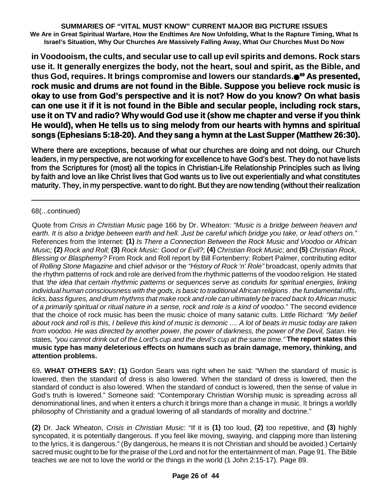**in Voodooism, the cults, and secular use to call up evil spirits and demons. Rock stars use it. It generally energizes the body, not the heart, soul and spirit, as the Bible, and thus God, requires. It brings compromise and lowers our standards. <sup>69</sup> As presented, rock music and drums are not found in the Bible. Suppose you believe rock music is okay to use from God's perspective and it is not? How do you know? On what basis can one use it if it is not found in the Bible and secular people, including rock stars, use it on TV and radio? Why would God use it (show me chapter and verse if you think He would), when He tells us to sing melody from our hearts with hymns and spiritual songs (Ephesians 5:18-20). And they sang a hymn at the Last Supper (Matthew 26:30).**

Where there are exceptions, because of what our churches are doing and not doing, our Church leaders, in my perspective, are not working for excellence to have God's best. They do not have lists from the Scriptures for (most) all the topics in Christian-Life Relationship Principles such as living by faith and love an like Christ lives that God wants us to live out experientially and what constitutes maturity. They, in my perspective. want to do right. But they are now tending (without their realization

### 68(...continued)

Quote from *Crisis in Christian Music* page 166 by Dr. Wheaton: *"Music is a bridge between heaven and* earth. It is also a bridge between earth and hell. Just be careful which bridge you take, or lead others on." References from the Internet: **(1)** *Is There a Connection Between the Rock Music and Voodoo or African* Music: (2) Rock and Roll: (3) Rock Music: Good or Evil?; (4) Christian Rock Music; and (5) Christian Rock, *Blessing or Blasphemy?* From Rock and Roll report by Bill Fortenberry: Robert Palmer, contributing editor of *Rolling Stone Magazine* and chief advisor or the *"History of Rock 'n' Role"* broadcast, openly admits that the rhythm patterns of rock and role are derived from the rhythmic patterns of the voodoo religion. He stated that *'the idea that certain rhythmic patterns or sequences serve as conduits for spiritual energies, linking individual human consciousness with the gods, is basic to traditional African religions . the fundamental riffs,* licks, bass figures, and drum rhythms that make rock and role can ultimately be traced back to African music *of a primarily spiritual or ritual nature in a sense, rock and role is a kind of voodoo.*" The second evidence that the choice of rock music has been the music choice of many satanic cults. Little Richard: *"My belief* about rock and roll is this, I believe this kind of music is demonic .... A lot of beats in music today are taken from voodoo. He was directed by another power, the power of darkness, the power of the Devil, Satan. He states. "you cannot drink out of the Lord's cup and the devil's cup at the same time." The report states this **music type has many deleterious effects on humans such as brain damage, memory, thinking, and attention problems.**

69**. WHAT OTHERS SAY: (1)** Gordon Sears was right when he said: "When the standard of music is lowered, then the standard of dress is also lowered. When the standard of dress is lowered, then the standard of conduct is also lowered. When the standard of conduct is lowered, then the sense of value in God's truth is lowered." Someone said: "Contemporary Christian Worship music is spreading across all denominational lines, and when it enters a church it brings more than a change in music. It brings a worldly philosophy of Christianity and a gradual lowering of all standards of morality and doctrine."

**(2)** Dr. Jack Wheaton, *Crisis in Christian Music*: "If it is **(1)** too loud, **(2)** too repetitive, and **(3)** highly syncopated, it is potentially dangerous. If you feel like moving, swaying, and clapping more than listening to the lyrics, it is dangerous." (By dangerous, he means it is not Christian and should be avoided.) Certainly sacred music ought to be for the praise of the Lord and not for the entertainment of man. Page 91. The Bible teaches we are not to love the world or the things in the world (1 John 2:15-17). Page 89.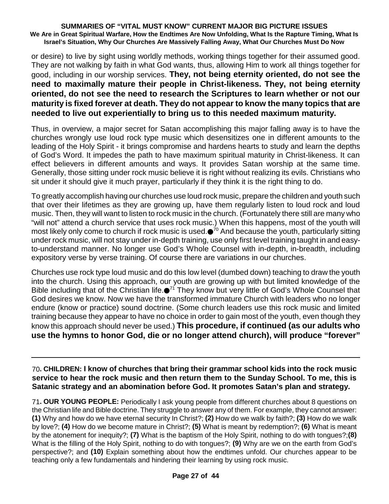or desire) to live by sight using worldly methods, working things together for their assumed good. They are not walking by faith in what God wants, thus, allowing Him to work all things together for good, including in our worship services. **They, not being eternity oriented, do not see the need to maximally mature their people in Christ-likeness. They, not being eternity oriented, do not see the need to research the Scriptures to learn whether or not our maturity is fixed forever at death. They do not appear to know the many topics that are needed to live out experientially to bring us to this needed maximum maturity.**

Thus, in overview, a major secret for Satan accomplishing this major falling away is to have the churches wrongly use loud rock type music which desensitizes one in different amounts to the leading of the Holy Spirit - it brings compromise and hardens hearts to study and learn the depths of God's Word. It impedes the path to have maximum spiritual maturity in Christ-likeness. It can effect believers in different amounts and ways. It provides Satan worship at the same time. Generally, those sitting under rock music believe it is right without realizing its evils. Christians who sit under it should give it much prayer, particularly if they think it is the right thing to do.

To greatly accomplish having our churches use loud rock music, prepare the children and youth such that over their lifetimes as they are growing up, have them regularly listen to loud rock and loud music. Then, they will want to listen to rock music in the church. (Fortunately there still are many who "will not" attend a church service that uses rock music.) When this happens, most of the youth will most likely only come to church if rock music is used. $\bullet^{70}$  And because the youth, particularly sitting under rock music, will not stay under in-depth training, use only first level training taught in and easyto-understand manner. No longer use God's Whole Counsel with in-depth, in-breadth, including expository verse by verse training. Of course there are variations in our churches.

Churches use rock type loud music and do this low level (dumbed down) teaching to draw the youth into the church. Using this approach, our youth are growing up with but limited knowledge of the Bible including that of the Christian life.●<sup>71</sup> They know but very little of God's Whole Counsel that God desires we know. Now we have the transformed immature Church with leaders who no longer endure (know or practice) sound doctrine. (Some church leaders use this rock music and limited training because they appear to have no choice in order to gain most of the youth, even though they know this approach should never be used.) **This procedure, if continued (as our adults who use the hymns to honor God, die or no longer attend church), will produce "forever"**

70**. CHILDREN: I know of churches that bring their grammar school kids into the rock music service to hear the rock music and then return them to the Sunday School. To me, this is Satanic strategy and an abomination before God. It promotes Satan's plan and strategy.**

71**. OUR YOUNG PEOPLE:** Periodically I ask young people from different churches about 8 questions on the Christian life and Bible doctrine. They struggle to answer any of them. For example, they cannot answer: **(1)** Why and how do we have eternal security In Christ?; **(2)** How do we walk by faith?; **(3)** How do we walk by love?; **(4)** How do we become mature in Christ?; **(5)** What is meant by redemption?; **(6)** What is meant by the atonement for inequity?; **(7)** What is the baptism of the Holy Spirit, nothing to do with tongues?;**(8)** What is the filling of the Holy Spirit, nothing to do with tongues?; **(9)** Why are we on the earth from God's perspective?; and **(10)** Explain something about how the endtimes unfold. Our churches appear to be teaching only a few fundamentals and hindering their learning by using rock music.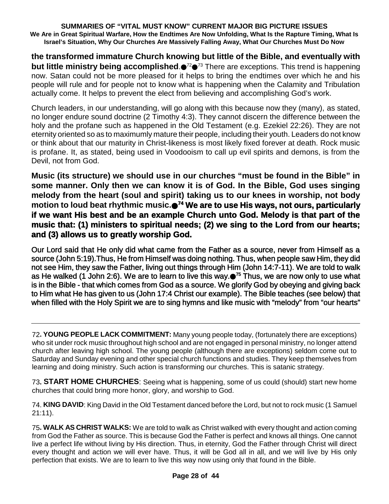**the transformed immature Church knowing but little of the Bible, and eventually with but little ministry being accomplished**. <sup>72</sup> <sup>73</sup> There are exceptions. This trend is happening now. Satan could not be more pleased for it helps to bring the endtimes over which he and his people will rule and for people not to know what is happening when the Calamity and Tribulation actually come. It helps to prevent the elect from believing and accomplishing God's work.

Church leaders, in our understanding, will go along with this because now they (many), as stated, no longer endure sound doctrine (2 Timothy 4:3). They cannot discern the difference between the holy and the profane such as happened in the Old Testament (e.g. Ezekiel 22:26). They are not eternity oriented so as to maximumly mature their people, including their youth. Leaders do not know or think about that our maturity in Christ-likeness is most likely fixed forever at death. Rock music is profane. It, as stated, being used in Voodooism to call up evil spirits and demons, is from the Devil, not from God.

**Music (its structure) we should use in our churches "must be found in the Bible" in some manner. Only then we can know it is of God. In the Bible, God uses singing melody from the heart (soul and spirit) taking us to our knees in worship, not body motion to loud beat rhythmic music. <sup>74</sup> We are to use His ways, not ours, particularly if we want His best and be an example Church unto God. Melody is that part of the music that: (1) ministers to spiritual needs; (2) we sing to the Lord from our hearts; and (3) allows us to greatly worship God.**

Our Lord said that He only did what came from the Father as a source, never from Himself as a source (John 5:19).Thus, He from Himself was doing nothing. Thus, when people saw Him, they did not see Him, they saw the Father, living out things through Him (John 14:7-11). We are told to walk as He walked (1 John 2:6). We are to learn to live this way.●<sup>75</sup> Thus, we are now only to use what is in the Bible - that which comes from God as a source. We glorify God by obeying and giving back to Him what He has given to us (John 17:4 Christ our example). The Bible teaches (see below) that when filled with the Holy Spirit we are to sing hymns and like music with "melody" from "our hearts"

73**. START HOME CHURCHES**: Seeing what is happening, some of us could (should) start new home churches that could bring more honor, glory, and worship to God.

74. **KING DAVID**: King David in the Old Testament danced before the Lord, but not to rock music (1 Samuel 21:11).

75**. WALK AS CHRIST WALKS:** We are told to walk as Christ walked with every thought and action coming from God the Father as source. This is because God the Father is perfect and knows all things. One cannot live a perfect life without living by His direction. Thus, in eternity, God the Father through Christ will direct every thought and action we will ever have. Thus, it will be God all in all, and we will live by His only perfection that exists. We are to learn to live this way now using only that found in the Bible.

<sup>72</sup>**. YOUNG PEOPLE LACK COMMITMENT:** Many young people today, (fortunately there are exceptions) who sit under rock music throughout high school and are not engaged in personal ministry, no longer attend church after leaving high school. The young people (although there are exceptions) seldom come out to Saturday and Sunday evening and other special church functions and studies. They keep themselves from learning and doing ministry. Such action is transforming our churches. This is satanic strategy.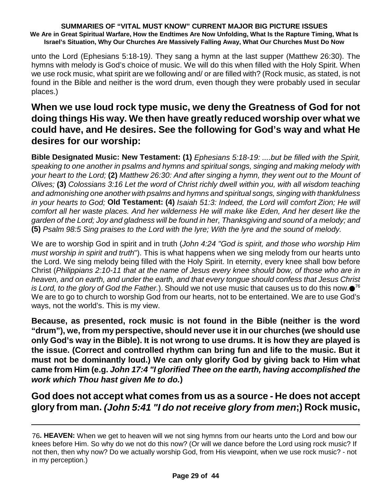unto the Lord (Ephesians 5:18-19*)*. They sang a hymn at the last supper (Matthew 26:30). The hymns with melody is God's choice of music. We will do this when filled with the Holy Spirit. When we use rock music, what spirit are we following and/ or are filled with? (Rock music, as stated, is not found in the Bible and neither is the word drum, even though they were probably used in secular places.)

## **When we use loud rock type music, we deny the Greatness of God for not doing things His way. We then have greatly reduced worship over what we could have, and He desires. See the following for God's way and what He desires for our worship:**

**Bible Designated Music: New Testament: (1)** *Ephesians 5:18-19: ....but be filled with the Spirit, speaking to one another in psalms and hymns and spiritual songs, singing and making melody with* your heart to the Lord; (2) Matthew 26:30: And after singing a hymn, they went out to the Mount of *Olives;* **(3)** *Colossians 3:16 Let the word of Christ richly dwell within you, with all wisdom teaching and admonishing one another with psalms and hymns and spiritual songs, singing with thankfulness in your hearts to God;* **Old Testament: (4)** *Isaiah 51:3: Indeed, the Lord will comfort Zion; He will comfort all her waste places. And her wilderness He will make like Eden, And her desert like the* garden of the Lord; Joy and gladness will be found in her, Thanksgiving and sound of a melody; and **(5)** *Psalm 98:5 Sing praises to the Lord with the lyre; With the lyre and the sound of melody.*

We are to worship God in spirit and in truth (*John 4:24 "God is spirit, and those who worship Him must worship in spirit and truth*"). This is what happens when we sing melody from our hearts unto the Lord. We sing melody being filled with the Holy Spirit. In eternity, every knee shall bow before Christ (*Philippians 2:10-11 that at the name of Jesus every knee should bow, of those who are in heaven, and on earth, and under the earth, and that every tongue should confess that Jesus Christ is Lord, to the glory of God the Father.*). Should we not use music that causes us to do this now. 76 We are to go to church to worship God from our hearts, not to be entertained. We are to use God's ways, not the world's. This is my view.

**Because, as presented, rock music is not found in the Bible (neither is the word "drum"), we, from my perspective, should never use it in our churches (we should use** only God's way in the Bible). It is not wrong to use drums. It is how they are played is **the issue. (Correct and controlled rhythm can bring fun and life to the music. But it must not be dominantly loud.) We can only glorify God by giving back to Him what came from Him (e.g.** *John 17:4 "I glorified Thee on the earth, having accomplished the work which Thou hast given Me to do.***)**

**God does not accept what comes from us as a source - He does not accept glory from man.** *(John 5:41 "I do not receive glory from men***;) Rock music,**

<sup>76</sup>**. HEAVEN:** When we get to heaven will we not sing hymns from our hearts unto the Lord and bow our knees before Him. So why do we not do this now? (Or will we dance before the Lord using rock music? If not then, then why now? Do we actually worship God, from His viewpoint, when we use rock music? - not in my perception.)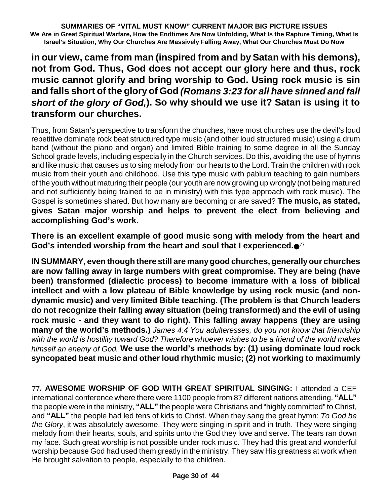**in our view, came from man (inspired from and by Satan with his demons), not from God. Thus, God does not accept our glory here and thus, rock music cannot glorify and bring worship to God. Using rock music is sin and falls short of the glory of God** *(Romans 3:23 for all have sinned and fall short of the glory of God,***). So why should we use it? Satan is using it to transform our churches.**

Thus, from Satan's perspective to transform the churches, have most churches use the devil's loud repetitive dominate rock beat structured type music (and other loud structured music) using a drum band (without the piano and organ) and limited Bible training to some degree in all the Sunday School grade levels, including especially in the Church services. Do this, avoiding the use of hymns and like music that causes us to sing melody from our hearts to the Lord. Train the children with rock music from their youth and childhood. Use this type music with pablum teaching to gain numbers of the youth without maturing their people (our youth are now growing up wrongly (not being matured and not sufficiently being trained to be in ministry) with this type approach with rock music). The Gospel is sometimes shared. But how many are becoming or are saved? **The music, as stated, gives Satan major worship and helps to prevent the elect from believing and accomplishing God's work**.

**There is an excellent example of good music song with melody from the heart and God's intended worship from the heart and soul that I experienced.** 77

**IN SUMMARY, even though there still are manygood churches, generallyour churches are now falling away in large numbers with great compromise. They are being (have been) transformed (dialectic process) to become immature with a loss of biblical intellect and with a low plateau of Bible knowledge by using rock music (and nondynamic music) and very limited Bible teaching. (The problem is that Church leaders do not recognize their falling away situation (being transformed) and the evil of using rock music - and they want to do right). This falling away happens (they are using many of the world's methods.)** *James 4:4 You adulteresses, do you not know that friendship with the world is hostility toward God? Therefore whoever wishes to be a friend of the world makes himself an enemy of God.* **We use the world's methods by: (1) using dominate loud rock syncopated beat music and other loud rhythmic music; (2) not working to maximumly**

77**. AWESOME WORSHIP OF GOD WITH GREAT SPIRITUAL SINGING:** I attended a CEF international conference where there were 1100 people from 87 different nations attending. **"ALL"** the people were in the ministry, **"ALL"** the people were Christians and "highly committed" to Christ, and **"ALL"** the people had led tens of kids to Christ. When they sang the great hymn: *To God be the Glory*, it was absolutely awesome. They were singing in spirit and in truth. They were singing melody from their hearts, souls, and spirits unto the God they love and serve. The tears ran down my face. Such great worship is not possible under rock music. They had this great and wonderful worship because God had used them greatly in the ministry. They saw His greatness at work when He brought salvation to people, especially to the children.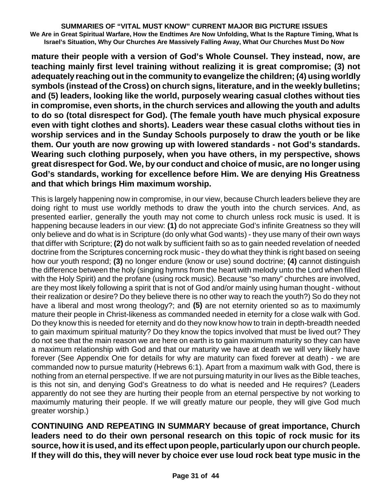**mature their people with a version of God's Whole Counsel. They instead, now, are teaching mainly first level training without realizing it is great compromise; (3) not adequately reaching out in the community to evangelize the children; (4) using worldly symbols (instead of the Cross) on church signs, literature, and in the weekly bulletins; and (5) leaders, looking like the world, purposely wearing casual clothes without ties in compromise, even shorts, in the church services and allowing the youth and adults to do so (total disrespect for God). (The female youth have much physical exposure even with tight clothes and shorts). Leaders wear these casual cloths without ties in worship services and in the Sunday Schools purposely to draw the youth or be like them. Our youth are now growing up with lowered standards - not God's standards. Wearing such clothing purposely, when you have others, in my perspective, shows great disrespect for God. We, by our conduct and choice of music, are no longer using God's standards, working for excellence before Him. We are denying His Greatness and that which brings Him maximum worship.**

This is largely happening now in compromise, in our view, because Church leaders believe they are doing right to must use worldly methods to draw the youth into the church services. And, as presented earlier, generally the youth may not come to church unless rock music is used. It is happening because leaders in our view: **(1)** do not appreciate God's infinite Greatness so they will only believe and do what is in Scripture (do only what God wants) - they use many of their own ways that differ with Scripture; **(2)** do not walk by sufficient faith so as to gain needed revelation of needed doctrine from the Scriptures concerning rock music - they do what they think is right based on seeing how our youth respond; **(3)** no longer endure (know or use) sound doctrine; **(4)** cannot distinguish the difference between the holy (singing hymns from the heart with melody unto the Lord when filled with the Holy Spirit) and the profane (using rock music). Because "so many" churches are involved, are they most likely following a spirit that is not of God and/or mainly using human thought - without their realization or desire? Do they believe there is no other way to reach the youth?) So do they not have a liberal and most wrong theology?; and **(5)** are not eternity oriented so as to maximumly mature their people in Christ-likeness as commanded needed in eternity for a close walk with God. Do they know this is needed for eternity and do they now know how to train in depth-breadth needed to gain maximum spiritual maturity? Do they know the topics involved that must be lived out? They do not see that the main reason we are here on earth is to gain maximum maturity so they can have a maximum relationship with God and that our maturity we have at death we will very likely have forever (See Appendix One for details for why are maturity can fixed forever at death) - we are commanded now to pursue maturity (Hebrews 6:1). Apart from a maximum walk with God, there is nothing from an eternal perspective. If we are not pursuing maturity in our lives as the Bible teaches, is this not sin, and denying God's Greatness to do what is needed and He requires? (Leaders apparently do not see they are hurting their people from an eternal perspective by not working to maximumly maturing their people. If we will greatly mature our people, they will give God much greater worship.)

**CONTINUING AND REPEATING IN SUMMARY because of great importance, Church leaders need to do their own personal research on this topic of rock music for its source, how it is used, and its effect upon people, particularlyupon our church people. If they will do this, they will never by choice ever use loud rock beat type music in the**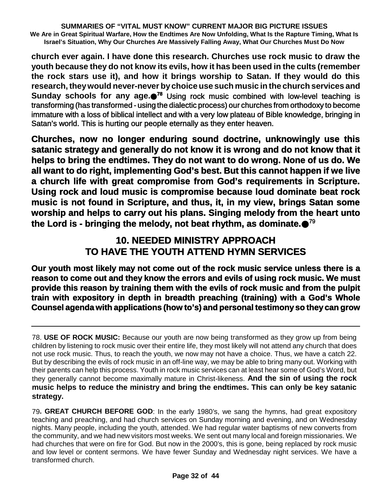**church ever again. I have done this research. Churches use rock music to draw the youth because they do not know its evils, how it has been used in the cults (remember the rock stars use it), and how it brings worship to Satan. If they would do this research,theywould never-never bychoice use such music in the church services and Sunday schools for any age. <sup>78</sup>** Using rock music combined with low-level teaching is transforming (has transformed - using the dialectic process) our churches from orthodoxy to become immature with a loss of biblical intellect and with a very low plateau of Bible knowledge, bringing in Satan's world. This is hurting our people eternally as they enter heaven.

**Churches, now no longer enduring sound doctrine, unknowingly use this satanic strategy and generally do not know it is wrong and do not know that it helps to bring the endtimes. They do not want to do wrong. None of us do. We all want to do right, implementing God's best. But this cannot happen if we live a church life with great compromise from God's requirements in Scripture. Using rock and loud music is compromise because loud dominate beat rock music is not found in Scripture, and thus, it, in my view, brings Satan some worship and helps to carry out his plans. Singing melody from the heart unto the Lord is - bringing the melody, not beat rhythm, as dominate.** 79

## **10. NEEDED MINISTRY APPROACH TO HAVE THE YOUTH ATTEND HYMN SERVICES**

**Our youth most likely may not come out of the rock music service unless there is a reason to come out and they know the errors and evils of using rock music. We must provide this reason by training them with the evils of rock music and from the pulpit train with expository in depth in breadth preaching (training) with a God's Whole Counsel agenda with applications (how to's) and personal testimony so they can grow**

<sup>78.</sup> **USE OF ROCK MUSIC:** Because our youth are now being transformed as they grow up from being children by listening to rock music over their entire life, they most likely will not attend any church that does not use rock music. Thus, to reach the youth, we now may not have a choice. Thus, we have a catch 22. But by describing the evils of rock music in an off-line way, we may be able to bring many out. Working with their parents can help this process. Youth in rock music services can at least hear some of God's Word, but they generally cannot become maximally mature in Christ-likeness. **And the sin of using the rock music helps to reduce the ministry and bring the endtimes. This can only be key satanic strategy.**

<sup>79</sup>**. GREAT CHURCH BEFORE GOD**: In the early 1980's, we sang the hymns, had great expository teaching and preaching, and had church services on Sunday morning and evening, and on Wednesday nights. Many people, including the youth, attended. We had regular water baptisms of new converts from the community, and we had new visitors most weeks. We sent out many local and foreign missionaries. We had churches that were on fire for God. But now in the 2000's, this is gone, being replaced by rock music and low level or content sermons. We have fewer Sunday and Wednesday night services. We have a transformed church.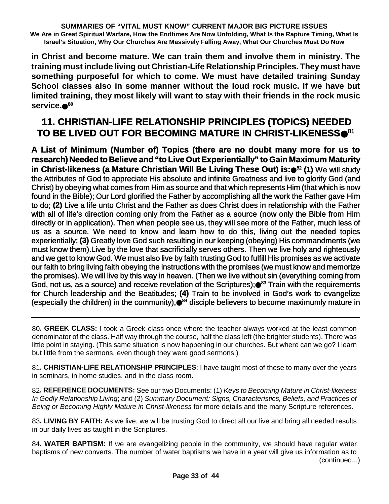**in Christ and become mature. We can train them and involve them in ministry. The training must include living out Christian-Life Relationship Principles. Theymust have something purposeful for which to come. We must have detailed training Sunday School classes also in some manner without the loud rock music. If we have but limited training, they most likely will want to stay with their friends in the rock music service. 80**

# **11. CHRISTIAN-LIFE RELATIONSHIP PRINCIPLES (TOPICS) NEEDED TO BE LIVED OUT FOR BECOMING MATURE IN CHRIST-LIKENESS** 81

**A List of Minimum (Number of) Topics (there are no doubt many more for us to research) Needed to Believe and "to Live Out Experientially" to Gain Maximum Maturity in Christ-likeness (a Mature Christian Will Be Living These Out) is:** <sup>82</sup> **(1)** We will study the Attributes of God to appreciate His absolute and infinite Greatness and live to glorify God (and Christ) by obeying what comes from Him as source and that which represents Him (that which is now found in the Bible); Our Lord glorified the Father by accomplishing all the work the Father gave Him to do; **(2)** Live a life unto Christ and the Father as does Christ does in relationship with the Father with all of life's direction coming only from the Father as a source (now only the Bible from Him directly or in application). Then when people see us, they will see more of the Father, much less of us as a source. We need to know and learn how to do this, living out the needed topics experientially; **(3)** Greatly love God such resulting in our keeping (obeying) His commandments (we must know them).Live by the love that sacrificially serves others. Then we live holy and righteously and we get to know God. We must also live by faith trusting God to fulfill His promises as we activate our faith to bring living faith obeying the instructions with the promises (we must know and memorize the promises). We will live by this way in heaven. (Then we live without sin (everything coming from God, not us, as a source) and receive revelation of the Scriptures);●<sup>83</sup> Train with the requirements for Church leadership and the Beatitudes; **(4)** Train to be involved in God's work to evangelize (especially the children) in the community),●<sup>84</sup> disciple believers to become maximumly mature in

80**. GREEK CLASS:** I took a Greek class once where the teacher always worked at the least common denominator of the class. Half way through the course, half the class left (the brighter students). There was little point in staying. (This same situation is now happening in our churches. But where can we go? I learn but little from the sermons, even though they were good sermons.)

81**. CHRISTIAN-LIFE RELATIONSHIP PRINCIPLES**: I have taught most of these to many over the years in seminars, in home studies, and in the class room.

82**. REFERENCE DOCUMENTS:** See our two Documents: (1) *Keys to Becoming Mature in Christ-likeness In Godly Relationship Living*; and (2) *Summary Document: Signs, Characteristics, Beliefs, and Practices of Being or Becoming Highly Mature in Christ-likeness* for more details and the many Scripture references.

83**. LIVING BY FAITH:** As we live, we will be trusting God to direct all our live and bring all needed results in our daily lives as taught in the Scriptures.

84**. WATER BAPTISM:** If we are evangelizing people in the community, we should have regular water baptisms of new converts. The number of water baptisms we have in a year will give us information as to (continued...)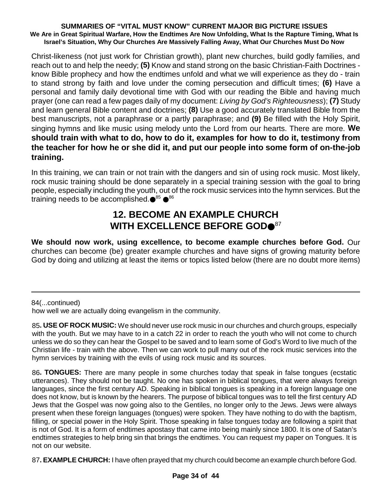Christ-likeness (not just work for Christian growth), plant new churches, build godly families, and reach out to and help the needy; **(5)** Know and stand strong on the basic Christian-Faith Doctrines know Bible prophecy and how the endtimes unfold and what we will experience as they do - train to stand strong by faith and love under the coming persecution and difficult times; **(6)** Have a personal and family daily devotional time with God with our reading the Bible and having much prayer (one can read a few pages daily of my document: *Living by God's Righteousness*); **(7)** Study and learn general Bible content and doctrines; **(8)** Use a good accurately translated Bible from the best manuscripts, not a paraphrase or a partly paraphrase; and **(9)** Be filled with the Holy Spirit, singing hymns and like music using melody unto the Lord from our hearts. There are more. **We should train with what to do, how to do it, examples for how to do it, testimony from the teacher for how he or she did it, and put our people into some form of on-the-job training.**

In this training, we can train or not train with the dangers and sin of using rock music. Most likely, rock music training should be done separately in a special training session with the goal to bring people, especially including the youth, out of the rock music services into the hymn services. But the training needs to be accomplished.●<sup>85</sup> ●<sup>86</sup>

## **12. BECOME AN EXAMPLE CHURCH WITH EXCELLENCE BEFORE GOD** 87

**We should now work, using excellence, to become example churches before God.** Our churches can become (be) greater example churches and have signs of growing maturity before God by doing and utilizing at least the items or topics listed below (there are no doubt more items)

84(...continued)

how well we are actually doing evangelism in the community.

85**. USE OF ROCK MUSIC:** We should never use rock music in our churches and church groups, especially with the youth. But we may have to in a catch 22 in order to reach the youth who will not come to church unless we do so they can hear the Gospel to be saved and to learn some of God's Word to live much of the Christian life - train with the above. Then we can work to pull many out of the rock music services into the hymn services by training with the evils of using rock music and its sources.

86**. TONGUES:** There are many people in some churches today that speak in false tongues (ecstatic utterances). They should not be taught. No one has spoken in biblical tongues, that were always foreign languages, since the first century AD. Speaking in biblical tongues is speaking in a foreign language one does not know, but is known by the hearers. The purpose of biblical tongues was to tell the first century AD Jews that the Gospel was now going also to the Gentiles, no longer only to the Jews. Jews were always present when these foreign languages (tongues) were spoken. They have nothing to do with the baptism, filling, or special power in the Holy Spirit. Those speaking in false tongues today are following a spirit that is not of God. It is a form of endtimes apostasy that came into being mainly since 1800. It is one of Satan's endtimes strategies to help bring sin that brings the endtimes. You can request my paper on Tongues. It is not on our website.

87**. EXAMPLE CHURCH:** I have often prayed that my church could become an example church before God.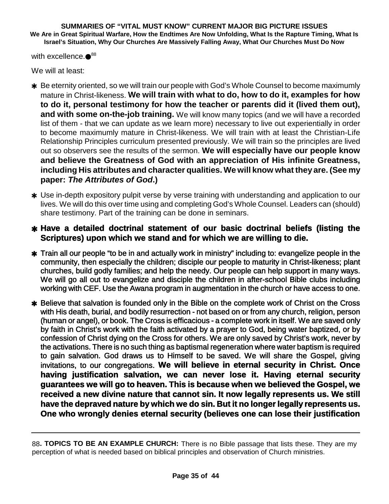with excellence. $\bullet^{88}$ 

We will at least:

- \* Be eternity oriented, so we will train our people with God's Whole Counsel to become maximumly mature in Christ-likeness. **We will train with what to do, how to do it, examples for how to do it, personal testimony for how the teacher or parents did it (lived them out), and with some on-the-job training.** We will know many topics (and we will have a recorded list of them - that we can update as we learn more) necessary to live out experientially in order to become maximumly mature in Christ-likeness. We will train with at least the Christian-Life Relationship Principles curriculum presented previously. We will train so the principles are lived out so observers see the results of the sermon. **We will especially have our people know and believe the Greatness of God with an appreciation of His infinite Greatness, including His attributes and character qualities. We will know what they are. (See my paper:** *The Attributes of God***.)**
- \* Use in-depth expository pulpit verse by verse training with understanding and application to our lives. We will do this over time using and completing God's Whole Counsel. Leaders can (should) share testimony. Part of the training can be done in seminars.

### **Have a detailed doctrinal statement of our basic doctrinal beliefs (listing the Scriptures) upon which we stand and for which we are willing to die.**

- Train all our people "to be in and actually work in ministry" including to: evangelize people in the community, then especially the children; disciple our people to maturity in Christ-likeness; plant churches, build godly families; and help the needy. Our people can help support in many ways. We will go all out to evangelize and disciple the children in after-school Bible clubs including working with CEF. Use the Awana program in augmentation in the church or have access to one.
- \* Believe that salvation is founded only in the Bible on the complete work of Christ on the Cross with His death, burial, and bodily resurrection - not based on or from any church, religion, person (human or angel), or book. The Cross is efficacious - a complete work in itself. We are saved only by faith in Christ's work with the faith activated by a prayer to God, being water baptized, or by confession of Christ dying on the Cross for others. We are only saved by Christ's work, never by the activations. There is no such thing as baptismal regeneration where water baptism is required to gain salvation. God draws us to Himself to be saved. We will share the Gospel, giving invitations, to our congregations. **We will believe in eternal security in Christ. Once having justification salvation, we can never lose it. Having eternal security guarantees we will go to heaven. This is because when we believed the Gospel, we received a new divine nature that cannot sin. It now legally represents us. We still have the depraved nature by which we do sin. But it no longer legally represents us. One who wrongly denies eternal security (believes one can lose their justification**

<sup>88</sup>**. TOPICS TO BE AN EXAMPLE CHURCH:** There is no Bible passage that lists these. They are my perception of what is needed based on biblical principles and observation of Church ministries.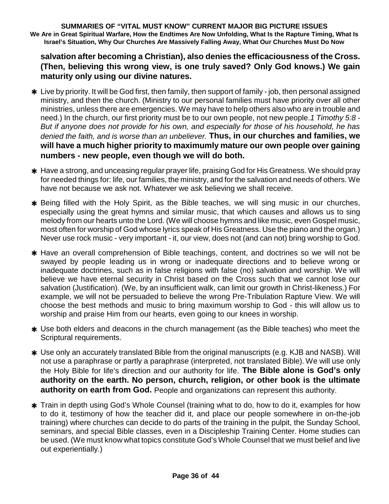**salvation after becoming a Christian), also denies the efficaciousness of the Cross. (Then, believing this wrong view, is one truly saved? Only God knows.) We gain maturity only using our divine natures.**

- \* Live by priority. It will be God first, then family, then support of family job, then personal assigned ministry, and then the church. (Ministry to our personal families must have priority over all other ministries, unless there are emergencies. We may have to help others also who are in trouble and need.) In the church, our first priority must be to our own people, not new people.*1 Timothy 5:8 - But if anyone does not provide for his own, and especially for those of his household, he has denied the faith, and is worse than an unbeliever.* **Thus, in our churches and families, we will have a much higher priority to maximumly mature our own people over gaining numbers - new people, even though we will do both.**
- Have a strong, and unceasing regular prayer life, praising God for His Greatness. We should pray for needed things for: life, our families, the ministry, and for the salvation and needs of others. We have not because we ask not. Whatever we ask believing we shall receive.
- \* Being filled with the Holy Spirit, as the Bible teaches, we will sing music in our churches, especially using the great hymns and similar music, that which causes and allows us to sing melody from our hearts unto the Lord. (We will choose hymns and like music, even Gospel music, most often for worship of God whose lyrics speak of His Greatness. Use the piano and the organ.) Never use rock music - very important - it, our view, does not (and can not) bring worship to God.
- \* Have an overall comprehension of Bible teachings, content, and doctrines so we will not be swayed by people leading us in wrong or inadequate directions and to believe wrong or inadequate doctrines, such as in false religions with false (no) salvation and worship. We will believe we have eternal security in Christ based on the Cross such that we cannot lose our salvation (Justification). (We, by an insufficient walk, can limit our growth in Christ-likeness.) For example, we will not be persuaded to believe the wrong Pre-Tribulation Rapture View. We will choose the best methods and music to bring maximum worship to God - this will allow us to worship and praise Him from our hearts, even going to our knees in worship.
- Use both elders and deacons in the church management (as the Bible teaches) who meet the Scriptural requirements.
- Use only an accurately translated Bible from the original manuscripts (e.g. KJB and NASB). Will not use a paraphrase or partly a paraphrase (interpreted, not translated Bible). We will use only the Holy Bible for life's direction and our authority for life. **The Bible alone is God's only authority on the earth. No person, church, religion, or other book is the ultimate authority on earth from God.** People and organizations can represent this authority.
- **\*** Train in depth using God's Whole Counsel (training what to do, how to do it, examples for how to do it, testimony of how the teacher did it, and place our people somewhere in on-the-job training) where churches can decide to do parts of the training in the pulpit, the Sunday School, seminars, and special Bible classes, even in a Discipleship Training Center. Home studies can be used. (We must know what topics constitute God's Whole Counsel that we must belief and live out experientially.)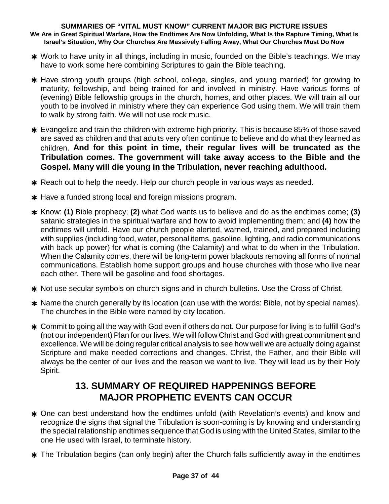- \* Work to have unity in all things, including in music, founded on the Bible's teachings. We may have to work some here combining Scriptures to gain the Bible teaching.
- \* Have strong youth groups (high school, college, singles, and young married) for growing to maturity, fellowship, and being trained for and involved in ministry. Have various forms of (evening) Bible fellowship groups in the church, homes, and other places. We will train all our youth to be involved in ministry where they can experience God using them. We will train them to walk by strong faith. We will not use rock music.
- Evangelize and train the children with extreme high priority. This is because 85% of those saved are saved as children and that adults very often continue to believe and do what they learned as children. **And for this point in time, their regular lives will be truncated as the Tribulation comes. The government will take away access to the Bible and the Gospel. Many will die young in the Tribulation, never reaching adulthood.**
- \* Reach out to help the needy. Help our church people in various ways as needed.
- \* Have a funded strong local and foreign missions program.
- Know: **(1)** Bible prophecy; **(2)** what God wants us to believe and do as the endtimes come; **(3)** satanic strategies in the spiritual warfare and how to avoid implementing them; and **(4)** how the endtimes will unfold. Have our church people alerted, warned, trained, and prepared including with supplies (including food, water, personal items, gasoline, lighting, and radio communications with back up power) for what is coming (the Calamity) and what to do when in the Tribulation. When the Calamity comes, there will be long-term power blackouts removing all forms of normal communications. Establish home support groups and house churches with those who live near each other. There will be gasoline and food shortages.
- \* Not use secular symbols on church signs and in church bulletins. Use the Cross of Christ.
- \* Name the church generally by its location (can use with the words: Bible, not by special names). The churches in the Bible were named by city location.
- Commit to going all the way with God even if others do not. Our purpose for living is to fulfill God's (not our independent) Plan for our lives. We will follow Christ and God with great commitment and excellence. We will be doing regular critical analysis to see how well we are actually doing against Scripture and make needed corrections and changes. Christ, the Father, and their Bible will always be the center of our lives and the reason we want to live. They will lead us by their Holy Spirit.

## **13. SUMMARY OF REQUIRED HAPPENINGS BEFORE MAJOR PROPHETIC EVENTS CAN OCCUR**

- \* One can best understand how the endtimes unfold (with Revelation's events) and know and recognize the signs that signal the Tribulation is soon-coming is by knowing and understanding the special relationship endtimes sequence that God is using with the United States, similar to the one He used with Israel, to terminate history.
- **\*** The Tribulation begins (can only begin) after the Church falls sufficiently away in the endtimes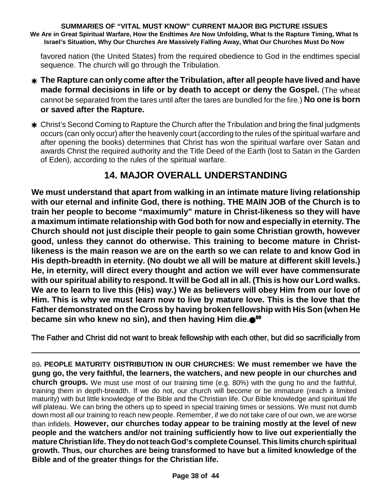favored nation (the United States) from the required obedience to God in the endtimes special sequence. The church will go through the Tribulation.

- **The Rapture can only come afterthe Tribulation, after all people have lived and have made formal decisions in life or by death to accept or deny the Gospel.** (The wheat cannot be separated from the tares until after the tares are bundled for the fire.) **No one is born or saved after the Rapture.**
- Christ's Second Coming to Rapture the Church after the Tribulation and bring the final judgments occurs (can only occur) after the heavenly court (according to the rules of the spiritual warfare and after opening the books) determines that Christ has won the spiritual warfare over Satan and awards Christ the required authority and the Title Deed of the Earth (lost to Satan in the Garden of Eden), according to the rules of the spiritual warfare.

## **14. MAJOR OVERALL UNDERSTANDING**

**We must understand that apart from walking in an intimate mature living relationship with our eternal and infinite God, there is nothing. THE MAIN JOB of the Church is to train her people to become "maximumly" mature in Christ-likeness so they will have a maximum intimate relationship with God both for now and especially in eternity. The Church should not just disciple their people to gain some Christian growth, however good, unless they cannot do otherwise. This training to become mature in Christlikeness is the main reason we are on the earth so we can relate to and know God in His depth-breadth in eternity. (No doubt we all will be mature at different skill levels.) He, in eternity, will direct every thought and action we will ever have commensurate** with our spiritual ability to respond. It will be God all in all. (This is how our Lord walks. **We are to learn to live this (His) way.) We as believers will obey Him from our love of Him. This is why we must learn now to live by mature love. This is the love that the Father demonstrated on the Cross by having broken fellowship with His Son (when He became sin who knew no sin), and then having Him die. 89**

The Father and Christ did not want to break fellowship with each other, but did so sacrificially from

89**. PEOPLE MATURITY DISTRIBUTION IN OUR CHURCHES: We must remember we have the gung go, the very faithful, the learners, the watchers, and new people in our churches and church groups.** We must use most of our training time (e.g. 80%) with the gung ho and the faithful, training them in depth-breadth. If we do not, our church will become or be immature (reach a limited maturity) with but little knowledge of the Bible and the Christian life. Our Bible knowledge and spiritual life will plateau. We can bring the others up to speed in special training times or sessions. We must not dumb down most all our training to reach new people. Remember, if we do not take care of our own, we are worse than infidels. **However, our churches today appear to be training mostly at the level of new people and the watchers and/or not training sufficiently how to live out experientially the mature Christian life. Theydo notteach God's complete Counsel. This limits church spiritual growth. Thus, our churches are being transformed to have but a limited knowledge of the Bible and of the greater things for the Christian life.**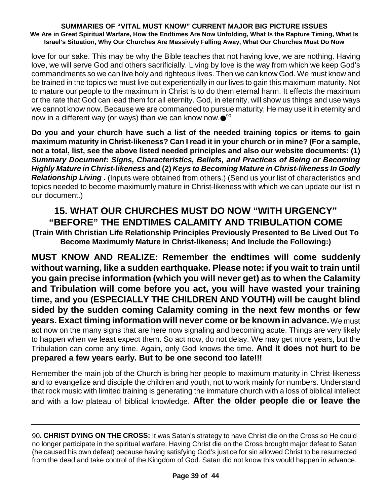love for our sake. This may be why the Bible teaches that not having love, we are nothing. Having love, we will serve God and others sacrificially. Living by love is the way from which we keep God's commandments so we can live holy and righteous lives. Then we can know God. We must know and be trained in the topics we must live out experientially in our lives to gain this maximum maturity. Not to mature our people to the maximum in Christ is to do them eternal harm. It effects the maximum or the rate that God can lead them for all eternity. God, in eternity, will show us things and use ways we cannot know now. Because we are commanded to pursue maturity, He may use it in eternity and now in a different way (or ways) than we can know now. $\bullet^{ \text{\tiny 90}}$ 

**Do you and your church have such a list of the needed training topics or items to gain maximum maturity in Christ-likeness? Can I read it in your church or in mine? (For a sample, not a total, list, see the above listed needed principles and also our website documents: (1)** *Summary Document: Signs, Characteristics, Beliefs, and Practices of Being or Becoming Highly Mature in Christ-likeness* **and (2)** *Keys to Becoming Mature in Christ-likeness In Godly Relationship Living* **.** (Inputs were obtained from others.) (Send us your list of characteristics and topics needed to become maximumly mature in Christ-likeness with which we can update our list in our document.)

### **15. WHAT OUR CHURCHES MUST DO NOW "WITH URGENCY" "BEFORE" THE ENDTIMES CALAMITY AND TRIBULATION COME**

**(Train With Christian Life Relationship Principles Previously Presented to Be Lived Out To Become Maximumly Mature in Christ-likeness; And Include the Following:)**

**MUST KNOW AND REALIZE: Remember the endtimes will come suddenly without warning, like a sudden earthquake. Please note: if you wait to train until you gain precise information (which you will never get) as to when the Calamity and Tribulation will come before you act, you will have wasted your training time, and you (ESPECIALLY THE CHILDREN AND YOUTH) will be caught blind sided by the sudden coming Calamity coming in the next few months or few years. Exact timing information will never come or be known in advance.**We must act now on the many signs that are here now signaling and becoming acute. Things are very likely to happen when we least expect them. So act now, do not delay. We may get more years, but the Tribulation can come any time. Again, only God knows the time. **And it does not hurt to be prepared a few years early. But to be one second too late!!!**

Remember the main job of the Church is bring her people to maximum maturity in Christ-likeness and to evangelize and disciple the children and youth, not to work mainly for numbers. Understand that rock music with limited training is generating the immature church with a loss of biblical intellect and with a low plateau of biblical knowledge. **After the older people die or leave the**

<sup>90</sup>**. CHRIST DYING ON THE CROSS:** It was Satan's strategy to have Christ die on the Cross so He could no longer participate in the spiritual warfare. Having Christ die on the Cross brought major defeat to Satan (he caused his own defeat) because having satisfying God's justice for sin allowed Christ to be resurrected from the dead and take control of the Kingdom of God. Satan did not know this would happen in advance.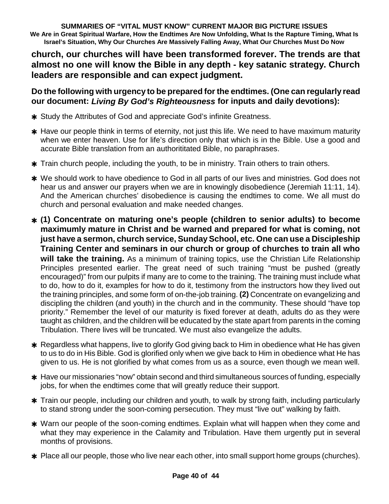**church, our churches will have been transformed forever. The trends are that almost no one will know the Bible in any depth - key satanic strategy. Church leaders are responsible and can expect judgment.**

**Do the following with urgency to be prepared forthe endtimes. (One can regularly read our document:** *Living By God's Righteousness* **for inputs and daily devotions):**

- \* Study the Attributes of God and appreciate God's infinite Greatness.
- $*$  Have our people think in terms of eternity, not just this life. We need to have maximum maturity when we enter heaven. Use for life's direction only that which is in the Bible. Use a good and accurate Bible translation from an authorititated Bible, no paraphrases.
- **\*** Train church people, including the youth, to be in ministry. Train others to train others.
- We should work to have obedience to God in all parts of our lives and ministries. God does not hear us and answer our prayers when we are in knowingly disobedience (Jeremiah 11:11, 14). And the American churches' disobedience is causing the endtimes to come. We all must do church and personal evaluation and make needed changes.
- **(1) Concentrate on maturing one's people (children to senior adults) to become maximumly mature in Christ and be warned and prepared for what is coming, not just have a sermon, church service, SundaySchool, etc. One can use a Discipleship Training Center and seminars in our church or group of churches to train all who will take the training.** As a minimum of training topics, use the Christian Life Relationship Principles presented earlier. The great need of such training "must be pushed (greatly encouraged)" from our pulpits if many are to come to the training. The training must include what to do, how to do it, examples for how to do it, testimony from the instructors how they lived out the training principles, and some form of on-the-job training. **(2)** Concentrate on evangelizing and discipling the children (and youth) in the church and in the community. These should "have top priority." Remember the level of our maturity is fixed forever at death, adults do as they were taught as children, and the children will be educated by the state apart from parents in the coming Tribulation. There lives will be truncated. We must also evangelize the adults.
- \* Regardless what happens, live to glorify God giving back to Him in obedience what He has given to us to do in His Bible. God is glorified only when we give back to Him in obedience what He has given to us. He is not glorified by what comes from us as a source, even though we mean well.
- \* Have our missionaries "now" obtain second and third simultaneous sources of funding, especially jobs, for when the endtimes come that will greatly reduce their support.
- Train our people, including our children and youth, to walk by strong faith, including particularly to stand strong under the soon-coming persecution. They must "live out" walking by faith.
- Warn our people of the soon-coming endtimes. Explain what will happen when they come and what they may experience in the Calamity and Tribulation. Have them urgently put in several months of provisions.
- \* Place all our people, those who live near each other, into small support home groups (churches).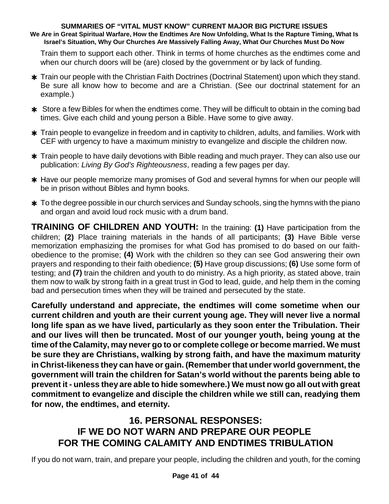Train them to support each other. Think in terms of home churches as the endtimes come and when our church doors will be (are) closed by the government or by lack of funding.

- Train our people with the Christian Faith Doctrines (Doctrinal Statement) upon which they stand. Be sure all know how to become and are a Christian. (See our doctrinal statement for an example.)
- **\*** Store a few Bibles for when the endtimes come. They will be difficult to obtain in the coming bad times. Give each child and young person a Bible. Have some to give away.
- **\*** Train people to evangelize in freedom and in captivity to children, adults, and families. Work with CEF with urgency to have a maximum ministry to evangelize and disciple the children now.
- **\*** Train people to have daily devotions with Bible reading and much prayer. They can also use our publication: *Living By God's Righteousness*, reading a few pages per day.
- \* Have our people memorize many promises of God and several hymns for when our people will be in prison without Bibles and hymn books.
- **\*** To the degree possible in our church services and Sunday schools, sing the hymns with the piano and organ and avoid loud rock music with a drum band.

**TRAINING OF CHILDREN AND YOUTH:** In the training: **(1)** Have participation from the children; **(2)** Place training materials in the hands of all participants; **(3)** Have Bible verse memorization emphasizing the promises for what God has promised to do based on our faithobedience to the promise; **(4)** Work with the children so they can see God answering their own prayers and responding to their faith obedience; **(5)** Have group discussions; **(6)** Use some form of testing; and **(7)** train the children and youth to do ministry. As a high priority, as stated above, train them now to walk by strong faith in a great trust in God to lead, guide, and help them in the coming bad and persecution times when they will be trained and persecuted by the state.

**Carefully understand and appreciate, the endtimes will come sometime when our current children and youth are their current young age. They will never live a normal long life span as we have lived, particularly as they soon enter the Tribulation. Their and our lives will then be truncated. Most of our younger youth, being young at the time of the Calamity, may never go to or complete college or become married. We must be sure they are Christians, walking by strong faith, and have the maximum maturity in Christ-likeness they can have or gain. (Rememberthat under world government, the government will train the children for Satan's world without the parents being able to prevent it - unless they are able to hide somewhere.) We must now go all out with great commitment to evangelize and disciple the children while we still can, readying them for now, the endtimes, and eternity.**

## **16. PERSONAL RESPONSES: IF WE DO NOT WARN AND PREPARE OUR PEOPLE FOR THE COMING CALAMITY AND ENDTIMES TRIBULATION**

If you do not warn, train, and prepare your people, including the children and youth, for the coming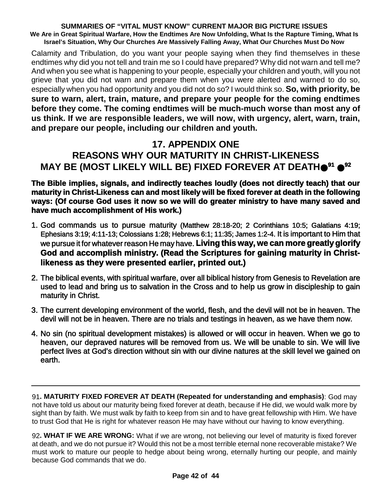Calamity and Tribulation, do you want your people saying when they find themselves in these endtimes why did you not tell and train me so I could have prepared? Why did not warn and tell me? And when you see what is happening to your people, especially your children and youth, will you not grieve that you did not warn and prepare them when you were alerted and warned to do so, especially when you had opportunity and you did not do so? I would think so. **So, with priority, be sure to warn, alert, train, mature, and prepare your people for the coming endtimes before they come. The coming endtimes will be much-much worse than most any of us think. If we are responsible leaders, we will now, with urgency, alert, warn, train, and prepare our people, including our children and youth.**

# **17. APPENDIX ONE REASONS WHY OUR MATURITY IN CHRIST-LIKENESS MAY BE (MOST LIKELY WILL BE) FIXED FOREVER AT DEATH <sup>91</sup> 92**

### **The Bible implies, signals, and indirectly teaches loudly (does not directly teach) that our maturity in Christ-Likeness can and most likely will be fixed forever at death in the following ways: (Of course God uses it now so we will do greater ministry to have many saved and have much accomplishment of His work.)**

- 1. God commands us to pursue maturity (Matthew 28:18-20; 2 Corinthians 10:5; Galatians 4:19; Ephesians 3:19; 4:11-13; Colossians 1:28; Hebrews 6:1; 11:35; James 1:2-4. It is important to Him that we pursue it for whatever reason He may have. **Living this way, we can more greatly glorify God and accomplish ministry. (Read the Scriptures for gaining maturity in Christlikeness as they were presented earlier, printed out.)**
- 2. The biblical events, with spiritual warfare, over all biblical history from Genesis to Revelation are used to lead and bring us to salvation in the Cross and to help us grow in discipleship to gain maturity in Christ.
- 3. The current developing environment of the world, flesh, and the devil will not be in heaven. The devil will not be in heaven. There are no trials and testings in heaven, as we have them now.
- 4. No sin (no spiritual development mistakes) is allowed or will occur in heaven. When we go to heaven, our depraved natures will be removed from us. We will be unable to sin. We will live perfect lives at God's direction without sin with our divine natures at the skill level we gained on earth.

91**. MATURITY FIXED FOREVER AT DEATH (Repeated for understanding and emphasis)**: God may not have told us about our maturity being fixed forever at death, because if He did, we would walk more by sight than by faith. We must walk by faith to keep from sin and to have great fellowship with Him. We have to trust God that He is right for whatever reason He may have without our having to know everything.

92**. WHAT IF WE ARE WRONG:** What if we are wrong, not believing our level of maturity is fixed forever at death, and we do not pursue it? Would this not be a most terrible eternal none recoverable mistake? We must work to mature our people to hedge about being wrong, eternally hurting our people, and mainly because God commands that we do.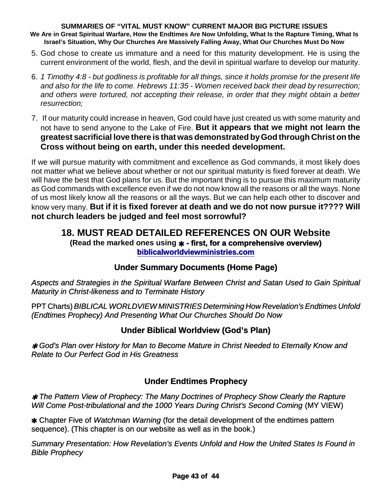- 5. God chose to create us immature and a need for this maturity development. He is using the current environment of the world, flesh, and the devil in spiritual warfare to develop our maturity.
- 6. 1 Timothy 4:8 but godliness is profitable for all things, since it holds promise for the present life *and also for the life to come. Hebrews 11:35 - Women received back their dead by resurrection; and others were tortured, not accepting their release, in order that they might obtain a better resurrection;*
- 7. If our maturity could increase in heaven, God could have just created us with some maturity and not have to send anyone to the Lake of Fire. **But it appears that we might not learn the greatest sacrificial love there is that was demonstrated byGod through Christ on the Cross without being on earth, under this needed development.**

If we will pursue maturity with commitment and excellence as God commands, it most likely does not matter what we believe about whether or not our spiritual maturity is fixed forever at death. We will have the best that God plans for us. But the important thing is to pursue this maximum maturity as God commands with excellence even if we do not now know all the reasons or all the ways. None of us most likely know all the reasons or all the ways. But we can help each other to discover and know very many. **But if it is fixed forever at death and we do not now pursue it???? Will not church leaders be judged and feel most sorrowful?**

### **18. MUST READ DETAILED REFERENCES ON OUR Website (Read the marked ones using - first, for a comprehensive overview) biblicalworldviewministries.com**

### **Under Summary Documents (Home Page)**

*Aspects and Strategies in the Spiritual Warfare Between Christ and Satan Used to Gain Spiritual Maturity in Christ-likeness and to Terminate History*

PPT Charts)*BIBLICAL WORLDVIEW MINISTRIES Determining How Revelation's Endtimes Unfold (Endtimes Prophecy) And Presenting What Our Churches Should Do Now*

### **Under Biblical Worldview (God's Plan)**

 *God's Plan over History for Man to Become Mature in Christ Needed to Eternally Know and Relate to Our Perfect God in His Greatness*

### **Under Endtimes Prophecy**

 *The Pattern View of Prophecy: The Many Doctrines of Prophecy Show Clearly the Rapture Will Come Post-tribulational and the 1000 Years During Christ's Second Coming* (MY VIEW)

 Chapter Five of *Watchman Warning* (for the detail development of the endtimes pattern sequence). (This chapter is on our website as well as in the book.)

*Summary Presentation: How Revelation's Events Unfold and How the United States Is Found in Bible Prophecy*